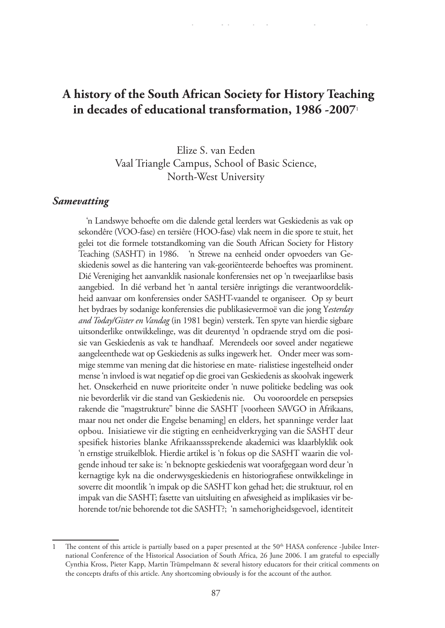# **A history of the South African Society for History Teaching in decades of educational transformation, 1986 -2007**<sup>1</sup>

Elize S. van Eeden Vaal Triangle Campus, School of Basic Science, North-West University

#### *Samevatting*

 'n Landswye behoefte om die dalende getal leerders wat Geskiedenis as vak op sekondêre (VOO-fase) en tersiêre (HOO-fase) vlak neem in die spore te stuit, het gelei tot die formele totstandkoming van die South African Society for History Teaching (SASHT) in 1986. 'n Strewe na eenheid onder opvoeders van Geskiedenis sowel as die hantering van vak-georiënteerde behoeftes was prominent. Dié Vereniging het aanvanklik nasionale konferensies net op 'n tweejaarlikse basis aangebied. In dié verband het 'n aantal tersiêre inrigtings die verantwoordelikheid aanvaar om konferensies onder SASHT-vaandel te organiseer. Op sy beurt het bydraes by sodanige konferensies die publikasievermoë van die jong Y*esterday and Today/Gister en Vandag* (in 1981 begin) versterk. Ten spyte van hierdie sigbare uitsonderlike ontwikkelinge, was dit deurentyd 'n opdraende stryd om die posisie van Geskiedenis as vak te handhaaf. Merendeels oor soveel ander negatiewe aangeleenthede wat op Geskiedenis as sulks ingewerk het. Onder meer was sommige stemme van mening dat die historiese en mate- rialistiese ingestelheid onder mense 'n invloed is wat negatief op die groei van Geskiedenis as skoolvak ingewerk het. Onsekerheid en nuwe prioriteite onder 'n nuwe politieke bedeling was ook nie bevorderlik vir die stand van Geskiedenis nie. Ou vooroordele en persepsies rakende die "magstrukture" binne die SASHT [voorheen SAVGO in Afrikaans, maar nou net onder die Engelse benaming] en elders, het spanninge verder laat opbou. Inisiatiewe vir die stigting en eenheidverkryging van die SASHT deur spesifiek histories blanke Afrikaansssprekende akademici was klaarblyklik ook 'n ernstige struikelblok. Hierdie artikel is 'n fokus op die SASHT waarin die volgende inhoud ter sake is: 'n beknopte geskiedenis wat voorafgegaan word deur 'n kernagtige kyk na die onderwysgeskiedenis en historiografiese ontwikkelinge in soverre dit moontlik 'n impak op die SASHT kon gehad het; die struktuur, rol en impak van die SASHT; fasette van uitsluiting en afwesigheid as implikasies vir behorende tot/nie behorende tot die SASHT?; 'n samehorigheidsgevoel, identiteit

The content of this article is partially based on a paper presented at the 50<sup>th</sup> HASA conference -Jubilee International Conference of the Historical Association of South Africa, 26 June 2006. I am grateful to especially Cynthia Kross, Pieter Kapp, Martin Trümpelmann & several history educators for their critical comments on the concepts drafts of this article. Any shortcoming obviously is for the account of the author.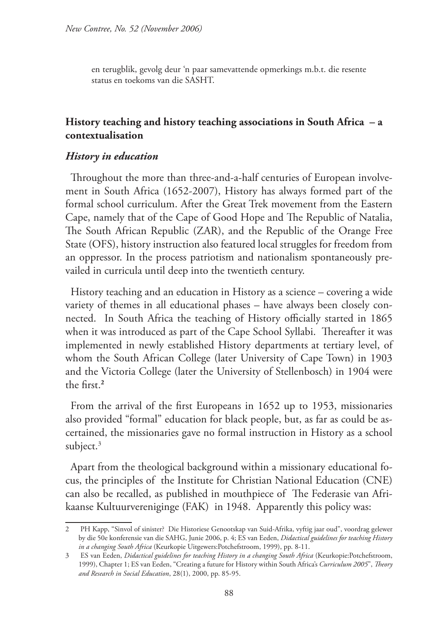en terugblik, gevolg deur 'n paar samevattende opmerkings m.b.t. die resente status en toekoms van die SASHT.

### **History teaching and history teaching associations in South Africa – a contextualisation**

#### *History in education*

Throughout the more than three-and-a-half centuries of European involvement in South Africa (1652-2007), History has always formed part of the formal school curriculum. After the Great Trek movement from the Eastern Cape, namely that of the Cape of Good Hope and The Republic of Natalia, The South African Republic (ZAR), and the Republic of the Orange Free State (OFS), history instruction also featured local struggles for freedom from an oppressor. In the process patriotism and nationalism spontaneously prevailed in curricula until deep into the twentieth century.

History teaching and an education in History as a science – covering a wide variety of themes in all educational phases – have always been closely connected. In South Africa the teaching of History officially started in 1865 when it was introduced as part of the Cape School Syllabi. Thereafter it was implemented in newly established History departments at tertiary level, of whom the South African College (later University of Cape Town) in 1903 and the Victoria College (later the University of Stellenbosch) in 1904 were the first.**<sup>2</sup>**

From the arrival of the first Europeans in 1652 up to 1953, missionaries also provided "formal" education for black people, but, as far as could be ascertained, the missionaries gave no formal instruction in History as a school subject.<sup>3</sup>

Apart from the theological background within a missionary educational focus, the principles of the Institute for Christian National Education (CNE) can also be recalled, as published in mouthpiece of The Federasie van Afrikaanse Kultuurvereniginge (FAK) in 1948. Apparently this policy was:

<sup>2</sup> PH Kapp, "Sinvol of sinister? Die Historiese Genootskap van Suid-Afrika, vyftig jaar oud", voordrag gelewer by die 50e konferensie van die SAHG, Junie 2006, p. 4; ES van Eeden, *Didactical guidelines for teaching History in a changing South Africa* (Keurkopie Uitgewers:Potchefstroom, 1999), pp. 8-11.

<sup>3</sup> ES van Eeden, *Didactical guidelines for teaching History in a changing South Africa* (Keurkopie:Potchefstroom, 1999), Chapter 1; ES van Eeden, "Creating a future for History within South Africa's *Curriculum 2005*", *Theory and Research in Social Education*, 28(1), 2000, pp. 85-95.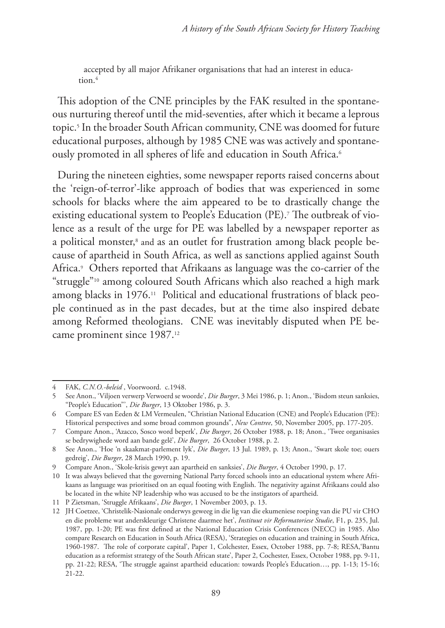accepted by all major Afrikaner organisations that had an interest in education.<sup>4</sup>

This adoption of the CNE principles by the FAK resulted in the spontaneous nurturing thereof until the mid-seventies, after which it became a leprous topic.5 In the broader South African community, CNE was doomed for future educational purposes, although by 1985 CNE was was actively and spontaneously promoted in all spheres of life and education in South Africa.<sup>6</sup>

During the nineteen eighties, some newspaper reports raised concerns about the 'reign-of-terror'-like approach of bodies that was experienced in some schools for blacks where the aim appeared to be to drastically change the existing educational system to People's Education (PE).7 The outbreak of violence as a result of the urge for PE was labelled by a newspaper reporter as a political monster,<sup>8</sup> and as an outlet for frustration among black people because of apartheid in South Africa, as well as sanctions applied against South Africa.9 Others reported that Afrikaans as language was the co-carrier of the "struggle"10 among coloured South Africans which also reached a high mark among blacks in 1976.<sup>11</sup> Political and educational frustrations of black people continued as in the past decades, but at the time also inspired debate among Reformed theologians. CNE was inevitably disputed when PE became prominent since 1987.12

<sup>4</sup> FAK, *C.N.O.-beleid* , Voorwoord. c.1948.

<sup>5</sup> See Anon., 'Viljoen verwerp Verwoerd se woorde', *Die Burger*, 3 Mei 1986, p. 1; Anon., 'Bisdom steun sanksies, "People's Education"', *Die Burger*, 13 Oktober 1986, p. 3.

<sup>6</sup> Compare ES van Eeden & LM Vermeulen, "Christian National Education (CNE) and People's Education (PE): Historical perspectives and some broad common grounds", *New Contree*, 50, November 2005, pp. 177-205.

<sup>7</sup> Compare Anon., 'Azacco, Sosco word beperk', *Die Burger*, 26 October 1988, p. 18; Anon., 'Twee organisasies se bedrywighede word aan bande gelê', *Die Burger*, 26 October 1988, p. 2.

<sup>8</sup> See Anon., 'Hoe 'n skaakmat-parlement lyk', *Die Burger*, 13 Jul. 1989, p. 13; Anon., 'Swart skole toe; ouers gedreig', *Die Burger*, 28 March 1990, p. 19.

<sup>9</sup> Compare Anon., 'Skole-krisis gewyt aan apartheid en sanksies', *Die Burger*, 4 October 1990, p. 17.

<sup>10</sup> It was always believed that the governing National Party forced schools into an educational system where Afrikaans as language was prioritised on an equal footing with English. The negativity against Afrikaans could also be located in the white NP leadership who was accused to be the instigators of apartheid.

<sup>11</sup> P Zietsman, 'Struggle Afrikaans', *Die Burger*, 1 November 2003, p. 13.

<sup>12</sup> JH Coetzee, 'Christelik-Nasionale onderwys geweeg in die lig van die ekumeniese roeping van die PU vir CHO en die probleme wat anderskleurige Christene daarmee het', *Instituut vir Reformatoriese Studie*, F1, p. 235, Jul. 1987, pp. 1-20; PE was first defined at the National Education Crisis Conferences (NECC) in 1985. Also compare Research on Education in South Africa (RESA), 'Strategies on education and training in South Africa, 1960-1987. The role of corporate capital', Paper 1, Colchester, Essex, October 1988, pp. 7-8; RESA,'Bantu education as a reformist strategy of the South African state', Paper 2, Cochester, Essex, October 1988, pp. 9-11, pp. 21-22; RESA, 'The struggle against apartheid education: towards People's Education…, pp. 1-13; 15-16; 21-22.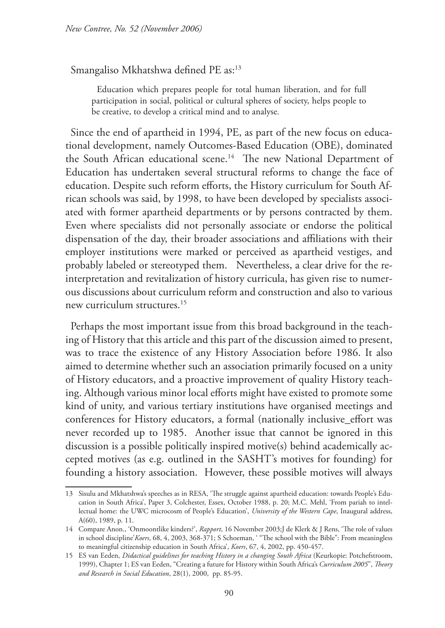Smangaliso Mkhatshwa defined PE as:13

Education which prepares people for total human liberation, and for full participation in social, political or cultural spheres of society, helps people to be creative, to develop a critical mind and to analyse*.*

Since the end of apartheid in 1994, PE, as part of the new focus on educational development, namely Outcomes-Based Education (OBE), dominated the South African educational scene.<sup>14</sup> The new National Department of Education has undertaken several structural reforms to change the face of education. Despite such reform efforts, the History curriculum for South African schools was said, by 1998, to have been developed by specialists associated with former apartheid departments or by persons contracted by them. Even where specialists did not personally associate or endorse the political dispensation of the day, their broader associations and affiliations with their employer institutions were marked or perceived as apartheid vestiges, and probably labeled or stereotyped them. Nevertheless, a clear drive for the reinterpretation and revitalization of history curricula, has given rise to numerous discussions about curriculum reform and construction and also to various new curriculum structures.15

Perhaps the most important issue from this broad background in the teaching of History that this article and this part of the discussion aimed to present, was to trace the existence of any History Association before 1986. It also aimed to determine whether such an association primarily focused on a unity of History educators, and a proactive improvement of quality History teaching. Although various minor local efforts might have existed to promote some kind of unity, and various tertiary institutions have organised meetings and conferences for History educators, a formal (nationally inclusive\_effort was never recorded up to 1985. Another issue that cannot be ignored in this discussion is a possible politically inspired motive(s) behind academically accepted motives (as e.g. outlined in the SASHT's motives for founding) for founding a history association. However, these possible motives will always

<sup>13</sup> Sisulu and Mkhatshwa's speeches as in RESA, 'The struggle against apartheid education: towards People's Education in South Africa', Paper 3, Colchester, Essex, October 1988, p. 20; M.C. Mehl, 'From pariah to intellectual home: the UWC microcosm of People's Education', *University of the Western Cape*, Inaugural address, A(60), 1989, p. 11.

<sup>14</sup> Compare Anon., 'Onmoontlike kinders?', *Rapport*, 16 November 2003;J de Klerk & J Rens, 'The role of values in school discipline'*Koers*, 68, 4, 2003, 368-371; S Schoeman, ' "The school with the Bible": From meaningless to meaningful citizenship education in South Africa', *Koers*, 67, 4, 2002, pp. 450-457.

<sup>15</sup> ES van Eeden, *Didactical guidelines for teaching History in a changing South Africa* (Keurkopie: Potchefstroom, 1999), Chapter 1; ES van Eeden, "Creating a future for History within South Africa's *Curriculum 2005*", *Theory and Research in Social Education*, 28(1), 2000, pp. 85-95.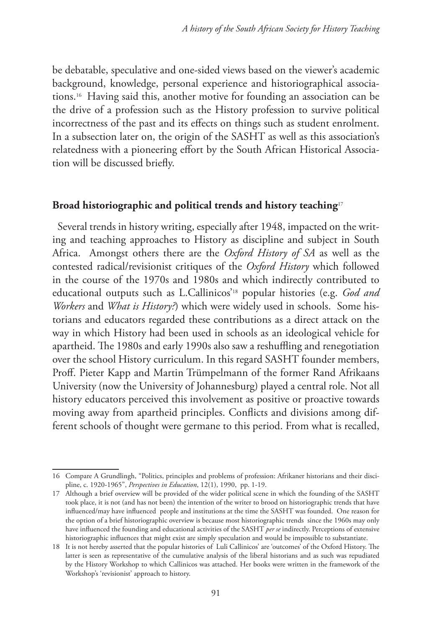be debatable, speculative and one-sided views based on the viewer's academic background, knowledge, personal experience and historiographical associations.16 Having said this, another motive for founding an association can be the drive of a profession such as the History profession to survive political incorrectness of the past and its effects on things such as student enrolment. In a subsection later on, the origin of the SASHT as well as this association's relatedness with a pioneering effort by the South African Historical Association will be discussed briefly.

#### **Broad historiographic and political trends and history teaching**<sup>17</sup>

Several trends in history writing, especially after 1948, impacted on the writing and teaching approaches to History as discipline and subject in South Africa. Amongst others there are the *Oxford History of SA* as well as the contested radical/revisionist critiques of the *Oxford History* which followed in the course of the 1970s and 1980s and which indirectly contributed to educational outputs such as L.Callinicos'18 popular histories (e.g. *God and Workers* and *What is History?*) which were widely used in schools. Some historians and educators regarded these contributions as a direct attack on the way in which History had been used in schools as an ideological vehicle for apartheid. The 1980s and early 1990s also saw a reshuffling and renegotiation over the school History curriculum. In this regard SASHT founder members, Proff. Pieter Kapp and Martin Trümpelmann of the former Rand Afrikaans University (now the University of Johannesburg) played a central role. Not all history educators perceived this involvement as positive or proactive towards moving away from apartheid principles. Conflicts and divisions among different schools of thought were germane to this period. From what is recalled,

<sup>16</sup> Compare A Grundlingh, "Politics, principles and problems of profession: Afrikaner historians and their discipline, c. 1920-1965", *Perspectives in Education*, 12(1), 1990, pp. 1-19.

<sup>17</sup> Although a brief overview will be provided of the wider political scene in which the founding of the SASHT took place, it is not (and has not been) the intention of the writer to brood on historiographic trends that have influenced/may have influenced people and institutions at the time the SASHT was founded. One reason for the option of a brief historiographic overview is because most historiographic trends since the 1960s may only have influenced the founding and educational activities of the SASHT *per se* indirectly. Perceptions of extensive historiographic influences that might exist are simply speculation and would be impossible to substantiate.

<sup>18</sup> It is not hereby asserted that the popular histories of Luli Callinicos' are 'outcomes' of the Oxford History. The latter is seen as representative of the cumulative analysis of the liberal historians and as such was repudiated by the History Workshop to which Callinicos was attached. Her books were written in the framework of the Workshop's 'revisionist' approach to history.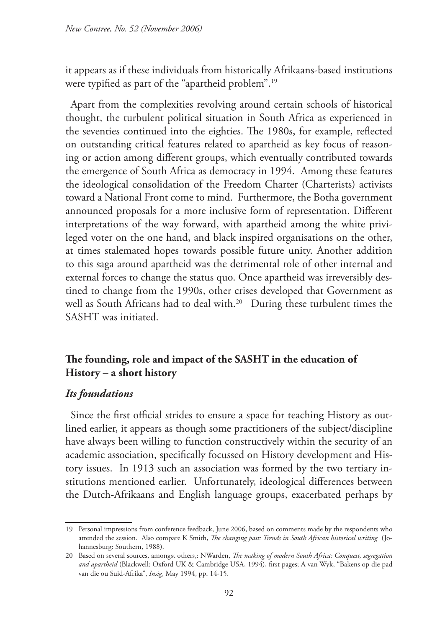it appears as if these individuals from historically Afrikaans-based institutions were typified as part of the "apartheid problem".19

Apart from the complexities revolving around certain schools of historical thought, the turbulent political situation in South Africa as experienced in the seventies continued into the eighties. The 1980s, for example, reflected on outstanding critical features related to apartheid as key focus of reasoning or action among different groups, which eventually contributed towards the emergence of South Africa as democracy in 1994. Among these features the ideological consolidation of the Freedom Charter (Charterists) activists toward a National Front come to mind. Furthermore, the Botha government announced proposals for a more inclusive form of representation. Different interpretations of the way forward, with apartheid among the white privileged voter on the one hand, and black inspired organisations on the other, at times stalemated hopes towards possible future unity. Another addition to this saga around apartheid was the detrimental role of other internal and external forces to change the status quo. Once apartheid was irreversibly destined to change from the 1990s, other crises developed that Government as well as South Africans had to deal with.<sup>20</sup> During these turbulent times the SASHT was initiated.

### **The founding, role and impact of the SASHT in the education of History – a short history**

#### *Its foundations*

Since the first official strides to ensure a space for teaching History as outlined earlier, it appears as though some practitioners of the subject/discipline have always been willing to function constructively within the security of an academic association, specifically focussed on History development and History issues. In 1913 such an association was formed by the two tertiary institutions mentioned earlier. Unfortunately, ideological differences between the Dutch-Afrikaans and English language groups, exacerbated perhaps by

<sup>19</sup> Personal impressions from conference feedback, June 2006, based on comments made by the respondents who attended the session. Also compare K Smith, *The changing past: Trends in South African historical writing* (Johannesburg: Southern, 1988).

<sup>20</sup> Based on several sources, amongst others,: NWarden, *The making of modern South Africa: Conquest, segregation and apartheid* (Blackwell: Oxford UK & Cambridge USA, 1994), first pages; A van Wyk, "Bakens op die pad van die ou Suid-Afrika", *Insig*, May 1994, pp. 14-15.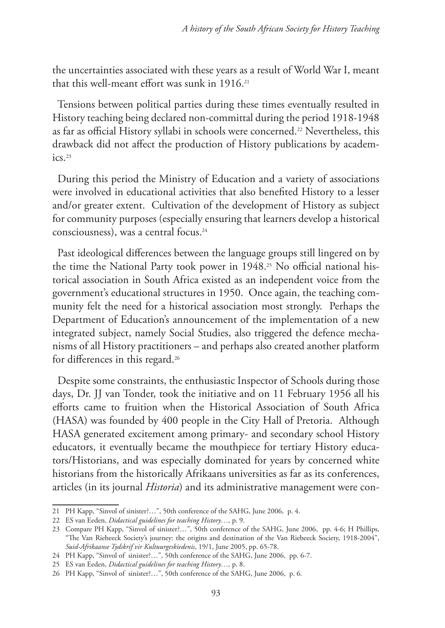the uncertainties associated with these years as a result of World War I, meant that this well-meant effort was sunk in 1916.21

Tensions between political parties during these times eventually resulted in History teaching being declared non-committal during the period 1918-1948 as far as official History syllabi in schools were concerned.<sup>22</sup> Nevertheless, this drawback did not affect the production of History publications by academics.<sup>23</sup>

During this period the Ministry of Education and a variety of associations were involved in educational activities that also benefited History to a lesser and/or greater extent. Cultivation of the development of History as subject for community purposes (especially ensuring that learners develop a historical consciousness), was a central focus.24

Past ideological differences between the language groups still lingered on by the time the National Party took power in 1948.<sup>25</sup> No official national historical association in South Africa existed as an independent voice from the government's educational structures in 1950. Once again, the teaching community felt the need for a historical association most strongly. Perhaps the Department of Education's announcement of the implementation of a new integrated subject, namely Social Studies, also triggered the defence mechanisms of all History practitioners – and perhaps also created another platform for differences in this regard.<sup>26</sup>

Despite some constraints, the enthusiastic Inspector of Schools during those days, Dr. JJ van Tonder, took the initiative and on 11 February 1956 all his efforts came to fruition when the Historical Association of South Africa (HASA) was founded by 400 people in the City Hall of Pretoria. Although HASA generated excitement among primary- and secondary school History educators, it eventually became the mouthpiece for tertiary History educators/Historians, and was especially dominated for years by concerned white historians from the historically Afrikaans universities as far as its conferences, articles (in its journal *Historia*) and its administrative management were con-

<sup>21</sup> PH Kapp, "Sinvol of sinister?…", 50th conference of the SAHG, June 2006, p. 4.

<sup>22</sup> ES van Eeden, *Didactical guidelines for teaching History…,* p. 9.

<sup>23</sup> Compare PH Kapp, "Sinvol of sinister?…", 50th conference of the SAHG, June 2006, pp. 4-6; H Phillips, "The Van Riebeeck Society's journey: the origins and destination of the Van Riebeeck Society, 1918-2004", *Suid-Afrikaanse Tydskrif vir Kultuurgeskiedenis*, 19/1, June 2005, pp. 65-78.

<sup>24</sup> PH Kapp, "Sinvol of sinister?…", 50th conference of the SAHG, June 2006, pp. 6-7.

<sup>25</sup> ES van Eeden, *Didactical guidelines for teaching History…,* p. 8.

<sup>26</sup> PH Kapp, "Sinvol of sinister?…", 50th conference of the SAHG, June 2006, p. 6.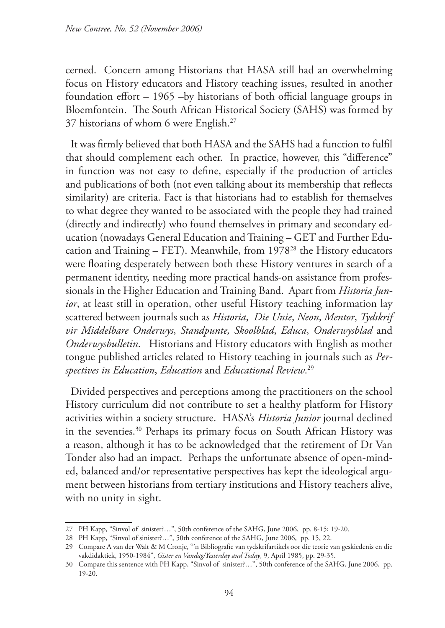cerned. Concern among Historians that HASA still had an overwhelming focus on History educators and History teaching issues, resulted in another foundation effort – 1965 –by historians of both official language groups in Bloemfontein. The South African Historical Society (SAHS) was formed by 37 historians of whom 6 were English.27

It was firmly believed that both HASA and the SAHS had a function to fulfil that should complement each other. In practice, however, this "difference" in function was not easy to define, especially if the production of articles and publications of both (not even talking about its membership that reflects similarity) are criteria. Fact is that historians had to establish for themselves to what degree they wanted to be associated with the people they had trained (directly and indirectly) who found themselves in primary and secondary education (nowadays General Education and Training – GET and Further Education and Training – FET). Meanwhile, from 197828 the History educators were floating desperately between both these History ventures in search of a permanent identity, needing more practical hands-on assistance from professionals in the Higher Education and Training Band. Apart from *Historia Junior*, at least still in operation, other useful History teaching information lay scattered between journals such as *Historia*, *Die Unie*, *Neon*, *Mentor*, *Tydskrif vir Middelbare Onderwys*, *Standpunte, Skoolblad*, *Educa*, *Onderwysblad* and *Onderwysbulletin*. Historians and History educators with English as mother tongue published articles related to History teaching in journals such as *Perspectives in Education*, *Education* and *Educational Review*. 29

Divided perspectives and perceptions among the practitioners on the school History curriculum did not contribute to set a healthy platform for History activities within a society structure. HASA's *Historia Junior* journal declined in the seventies.30 Perhaps its primary focus on South African History was a reason, although it has to be acknowledged that the retirement of Dr Van Tonder also had an impact. Perhaps the unfortunate absence of open-minded, balanced and/or representative perspectives has kept the ideological argument between historians from tertiary institutions and History teachers alive, with no unity in sight.

<sup>27</sup> PH Kapp, "Sinvol of sinister?…", 50th conference of the SAHG, June 2006, pp. 8-15; 19-20.

<sup>28</sup> PH Kapp, "Sinvol of sinister?…", 50th conference of the SAHG, June 2006, pp. 15, 22.

<sup>29</sup> Compare A van der Walt & M Cronje, "'n Bibliografie van tydskrifartikels oor die teorie van geskiedenis en die vakdidaktiek, 1950-1984", *Gister en Vandag/Yesterday and Today*, 9, April 1985, pp. 29-35.

<sup>30</sup> Compare this sentence with PH Kapp, "Sinvol of sinister?…", 50th conference of the SAHG, June 2006, pp. 19-20.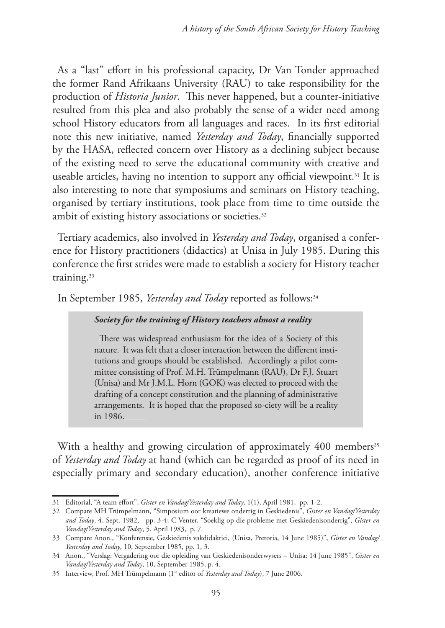As a "last" effort in his professional capacity, Dr Van Tonder approached the former Rand Afrikaans University (RAU) to take responsibility for the production of *Historia Junior*. This never happened, but a counter-initiative resulted from this plea and also probably the sense of a wider need among school History educators from all languages and races. In its first editorial note this new initiative, named *Yesterday and Today*, financially supported by the HASA, reflected concern over History as a declining subject because of the existing need to serve the educational community with creative and useable articles, having no intention to support any official viewpoint.<sup>31</sup> It is also interesting to note that symposiums and seminars on History teaching, organised by tertiary institutions, took place from time to time outside the ambit of existing history associations or societies.<sup>32</sup>

Tertiary academics, also involved in *Yesterday and Today*, organised a conference for History practitioners (didactics) at Unisa in July 1985. During this conference the first strides were made to establish a society for History teacher training.<sup>33</sup>

In September 1985, *Yesterday and Today* reported as follows:34

#### *Society for the training of History teachers almost a reality*

There was widespread enthusiasm for the idea of a Society of this nature. It was felt that a closer interaction between the different institutions and groups should be established. Accordingly a pilot committee consisting of Prof. M.H. Trümpelmann (RAU), Dr F.J. Stuart (Unisa) and Mr J.M.L. Horn (GOK) was elected to proceed with the drafting of a concept constitution and the planning of administrative arrangements. It is hoped that the proposed so-ciety will be a reality in 1986.

With a healthy and growing circulation of approximately 400 members<sup>35</sup> of *Yesterday and Today* at hand (which can be regarded as proof of its need in especially primary and secondary education), another conference initiative

<sup>31</sup> Editorial, "A team effort", *Gister en Vandag/Yesterday and Today*, 1(1), April 1981, pp. 1-2.

<sup>32</sup> Compare MH Trümpelmann, "Simposium oor kreatiewe onderrig in Geskiedenis", *Gister en Vandag/Yesterday and Today*, 4, Sept. 1982, pp. 3-4; C Venter, "Soeklig op die probleme met Geskiedenisonderrig", *Gister en Vandag/Yesterday and Today*, 5, April 1983, p. 7.

<sup>33</sup> Compare Anon., "Konferensie, Geskiedenis vakdidaktici, (Unisa, Pretoria, 14 June 1985)", *Gister en Vandag/ Yesterday and Today*, 10, September 1985, pp. 1, 3.

<sup>34</sup> Anon., "Verslag: Vergadering oor die opleiding van Geskiedenisonderwysers – Unisa: 14 June 1985", *Gister en Vandag/Yesterday and Today*, 10, September 1985, p. 4.

<sup>35</sup> Interview, Prof. MH Trümpelmann (1st editor of *Yesterday and Today*), 7 June 2006.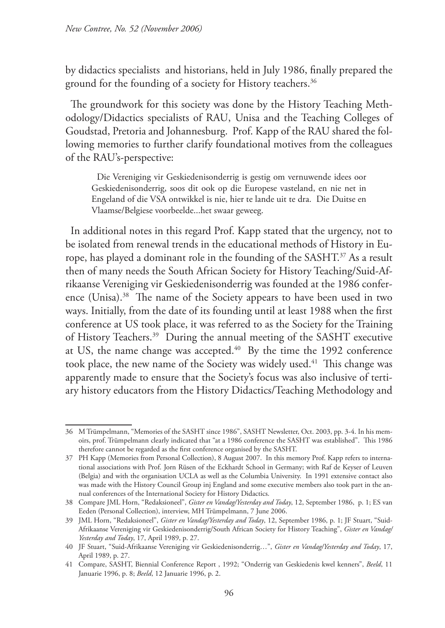by didactics specialists and historians, held in July 1986, finally prepared the ground for the founding of a society for History teachers.<sup>36</sup>

The groundwork for this society was done by the History Teaching Methodology/Didactics specialists of RAU, Unisa and the Teaching Colleges of Goudstad, Pretoria and Johannesburg. Prof. Kapp of the RAU shared the following memories to further clarify foundational motives from the colleagues of the RAU's-perspective:

Die Vereniging vir Geskiedenisonderrig is gestig om vernuwende idees oor Geskiedenisonderrig, soos dit ook op die Europese vasteland, en nie net in Engeland of die VSA ontwikkel is nie, hier te lande uit te dra. Die Duitse en Vlaamse/Belgiese voorbeelde...het swaar geweeg.

In additional notes in this regard Prof. Kapp stated that the urgency, not to be isolated from renewal trends in the educational methods of History in Europe, has played a dominant role in the founding of the SASHT.<sup>37</sup> As a result then of many needs the South African Society for History Teaching/Suid-Afrikaanse Vereniging vir Geskiedenisonderrig was founded at the 1986 conference (Unisa).38 The name of the Society appears to have been used in two ways. Initially, from the date of its founding until at least 1988 when the first conference at US took place, it was referred to as the Society for the Training of History Teachers.39 During the annual meeting of the SASHT executive at US, the name change was accepted.<sup>40</sup> By the time the 1992 conference took place, the new name of the Society was widely used.<sup>41</sup> This change was apparently made to ensure that the Society's focus was also inclusive of tertiary history educators from the History Didactics/Teaching Methodology and

<sup>36</sup> M Trümpelmann, "Memories of the SASHT since 1986", SASHT Newsletter, Oct. 2003, pp. 3-4. In his memoirs, prof. Trümpelmann clearly indicated that "at a 1986 conference the SASHT was established". This 1986 therefore cannot be regarded as the first conference organised by the SASHT.

<sup>37</sup> PH Kapp (Memories from Personal Collection), 8 August 2007. In this memory Prof. Kapp refers to international associations with Prof. Jorn Rüsen of the Eckhardt School in Germany; with Raf de Keyser of Leuven (Belgia) and with the organisation UCLA as well as the Columbia University. In 1991 extensive contact also was made with the History Council Group inj England and some executive members also took part in the annual conferences of the International Society for History Didactics.

<sup>38</sup> Compare JML Horn, "Redaksioneel", *Gister en Vandag/Yesterday and Today*, 12, September 1986, p. 1; ES van Eeden (Personal Collection), interview, MH Trümpelmann, 7 June 2006.

<sup>39</sup> JML Horn, "Redaksioneel", *Gister en Vandag/Yesterday and Today*, 12, September 1986, p. 1; JF Stuart, "Suid-Afrikaanse Vereniging vir Geskiedenisonderrig/South African Society for History Teaching", *Gister en Vandag/ Yesterday and Today*, 17, April 1989, p. 27.

<sup>40</sup> JF Stuart, "Suid-Afrikaanse Vereniging vir Geskiedenisonderrig…", *Gister en Vandag/Yesterday and Today*, 17, April 1989, p. 27.

<sup>41</sup> Compare, SASHT, Biennial Conference Report , 1992; "Onderrig van Geskiedenis kwel kenners", *Beeld*, 11 Januarie 1996, p. 8; *Beeld*, 12 Januarie 1996, p. 2.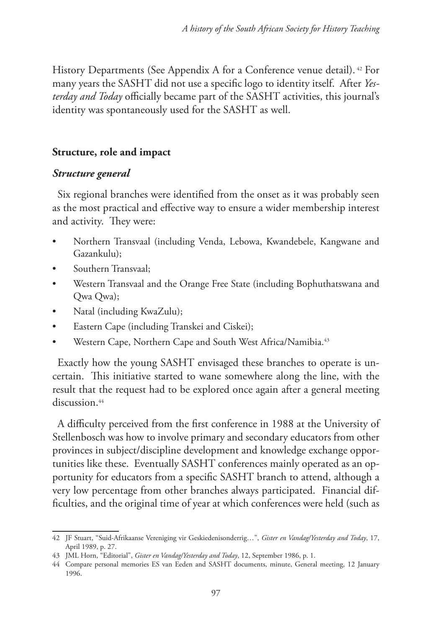History Departments (See Appendix A for a Conference venue detail).<sup>42</sup> For many years the SASHT did not use a specific logo to identity itself. After *Yesterday and Today* officially became part of the SASHT activities, this journal's identity was spontaneously used for the SASHT as well.

## **Structure, role and impact**

### *Structure general*

Six regional branches were identified from the onset as it was probably seen as the most practical and effective way to ensure a wider membership interest and activity. They were:

- Northern Transvaal (including Venda, Lebowa, Kwandebele, Kangwane and Gazankulu);
- Southern Transvaal;
- Western Transvaal and the Orange Free State (including Bophuthatswana and Qwa Qwa);
- Natal (including KwaZulu);
- Eastern Cape (including Transkei and Ciskei);
- Western Cape, Northern Cape and South West Africa/Namibia.<sup>43</sup>

Exactly how the young SASHT envisaged these branches to operate is uncertain. This initiative started to wane somewhere along the line, with the result that the request had to be explored once again after a general meeting discussion.<sup>44</sup>

A difficulty perceived from the first conference in 1988 at the University of Stellenbosch was how to involve primary and secondary educators from other provinces in subject/discipline development and knowledge exchange opportunities like these. Eventually SASHT conferences mainly operated as an opportunity for educators from a specific SASHT branch to attend, although a very low percentage from other branches always participated. Financial difficulties, and the original time of year at which conferences were held (such as

<sup>42</sup> JF Stuart, "Suid-Afrikaanse Vereniging vir Geskiedenisonderrig…", *Gister en Vandag/Yesterday and Today*, 17, April 1989, p. 27.

<sup>43</sup> JML Horn, "Editorial", *Gister en Vandag/Yesterday and Today*, 12, September 1986, p. 1.

<sup>44</sup> Compare personal memories ES van Eeden and SASHT documents, minute, General meeting, 12 January 1996.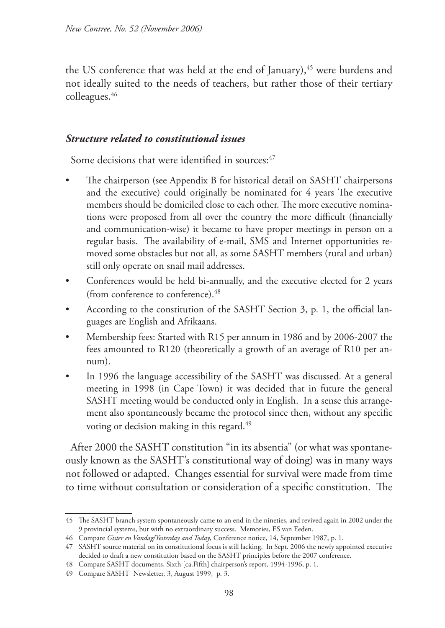the US conference that was held at the end of January), $45$  were burdens and not ideally suited to the needs of teachers, but rather those of their tertiary colleagues.46

#### *Structure related to constitutional issues*

Some decisions that were identified in sources:<sup>47</sup>

- The chairperson (see Appendix B for historical detail on SASHT chairpersons and the executive) could originally be nominated for 4 years The executive members should be domiciled close to each other. The more executive nominations were proposed from all over the country the more difficult (financially and communication-wise) it became to have proper meetings in person on a regular basis. The availability of e-mail, SMS and Internet opportunities removed some obstacles but not all, as some SASHT members (rural and urban) still only operate on snail mail addresses.
- Conferences would be held bi-annually, and the executive elected for 2 years (from conference to conference).48
- According to the constitution of the SASHT Section 3, p. 1, the official languages are English and Afrikaans.
- Membership fees: Started with R15 per annum in 1986 and by 2006-2007 the fees amounted to R120 (theoretically a growth of an average of R10 per annum).
- In 1996 the language accessibility of the SASHT was discussed. At a general meeting in 1998 (in Cape Town) it was decided that in future the general SASHT meeting would be conducted only in English. In a sense this arrangement also spontaneously became the protocol since then, without any specific voting or decision making in this regard.<sup>49</sup>

After 2000 the SASHT constitution "in its absentia" (or what was spontaneously known as the SASHT's constitutional way of doing) was in many ways not followed or adapted. Changes essential for survival were made from time to time without consultation or consideration of a specific constitution. The

<sup>45</sup> The SASHT branch system spontaneously came to an end in the nineties, and revived again in 2002 under the 9 provincial systems, but with no extraordinary success. Memories, ES van Eeden.

<sup>46</sup> Compare *Gister en Vandag/Yesterday and Today*, Conference notice, 14, September 1987, p. 1.

<sup>47</sup> SASHT source material on its constitutional focus is still lacking. In Sept. 2006 the newly appointed executive decided to draft a new constitution based on the SASHT principles before the 2007 conference.

<sup>48</sup> Compare SASHT documents, Sixth [ca.Fifth] chairperson's report, 1994-1996, p. 1.

<sup>49</sup> Compare SASHT Newsletter, 3, August 1999, p. 3.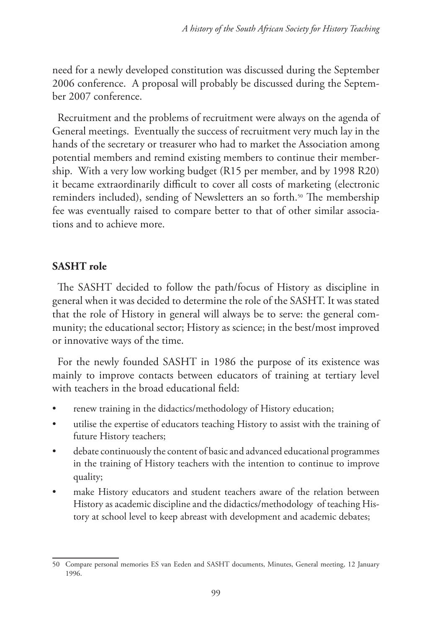need for a newly developed constitution was discussed during the September 2006 conference. A proposal will probably be discussed during the September 2007 conference.

Recruitment and the problems of recruitment were always on the agenda of General meetings. Eventually the success of recruitment very much lay in the hands of the secretary or treasurer who had to market the Association among potential members and remind existing members to continue their membership. With a very low working budget (R15 per member, and by 1998 R20) it became extraordinarily difficult to cover all costs of marketing (electronic reminders included), sending of Newsletters an so forth.<sup>50</sup> The membership fee was eventually raised to compare better to that of other similar associations and to achieve more.

## **SASHT role**

The SASHT decided to follow the path/focus of History as discipline in general when it was decided to determine the role of the SASHT. It was stated that the role of History in general will always be to serve: the general community; the educational sector; History as science; in the best/most improved or innovative ways of the time.

For the newly founded SASHT in 1986 the purpose of its existence was mainly to improve contacts between educators of training at tertiary level with teachers in the broad educational field:

- renew training in the didactics/methodology of History education;
- utilise the expertise of educators teaching History to assist with the training of future History teachers;
- debate continuously the content of basic and advanced educational programmes in the training of History teachers with the intention to continue to improve quality;
- make History educators and student teachers aware of the relation between History as academic discipline and the didactics/methodology of teaching History at school level to keep abreast with development and academic debates;

<sup>50</sup> Compare personal memories ES van Eeden and SASHT documents, Minutes, General meeting, 12 January 1996.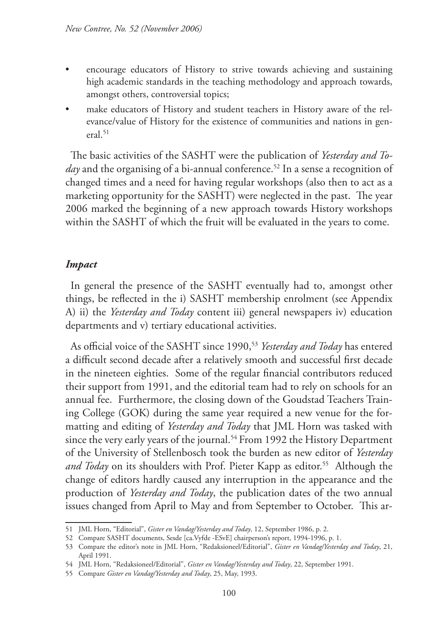- encourage educators of History to strive towards achieving and sustaining high academic standards in the teaching methodology and approach towards, amongst others, controversial topics;
- make educators of History and student teachers in History aware of the relevance/value of History for the existence of communities and nations in general. $51$

The basic activities of the SASHT were the publication of *Yesterday and Today* and the organising of a bi-annual conference.<sup>52</sup> In a sense a recognition of changed times and a need for having regular workshops (also then to act as a marketing opportunity for the SASHT) were neglected in the past. The year 2006 marked the beginning of a new approach towards History workshops within the SASHT of which the fruit will be evaluated in the years to come.

#### *Impact*

In general the presence of the SASHT eventually had to, amongst other things, be reflected in the i) SASHT membership enrolment (see Appendix A) ii) the *Yesterday and Today* content iii) general newspapers iv) education departments and v) tertiary educational activities.

As official voice of the SASHT since 1990,53 *Yesterday and Today* has entered a difficult second decade after a relatively smooth and successful first decade in the nineteen eighties. Some of the regular financial contributors reduced their support from 1991, and the editorial team had to rely on schools for an annual fee. Furthermore, the closing down of the Goudstad Teachers Training College (GOK) during the same year required a new venue for the formatting and editing of *Yesterday and Today* that JML Horn was tasked with since the very early years of the journal.<sup>54</sup> From 1992 the History Department of the University of Stellenbosch took the burden as new editor of *Yesterday and Today* on its shoulders with Prof. Pieter Kapp as editor.<sup>55</sup> Although the change of editors hardly caused any interruption in the appearance and the production of *Yesterday and Today*, the publication dates of the two annual issues changed from April to May and from September to October. This ar-

<sup>51</sup> JML Horn, "Editorial", *Gister en Vandag/Yesterday and Today*, 12, September 1986, p. 2.

<sup>52</sup> Compare SASHT documents, Sesde [ca.Vyfde -ESvE] chairperson's report, 1994-1996, p. 1.

<sup>53</sup> Compare the editor's note in JML Horn, "Redaksioneel/Editorial", *Gister en Vandag/Yesterday and Today*, 21, April 1991.

<sup>54</sup> JML Horn, "Redaksioneel/Editorial", *Gister en Vandag/Yesterday and Today*, 22, September 1991.

<sup>55</sup> Compare *Gister en Vandag/Yesterday and Today*, 25, May, 1993.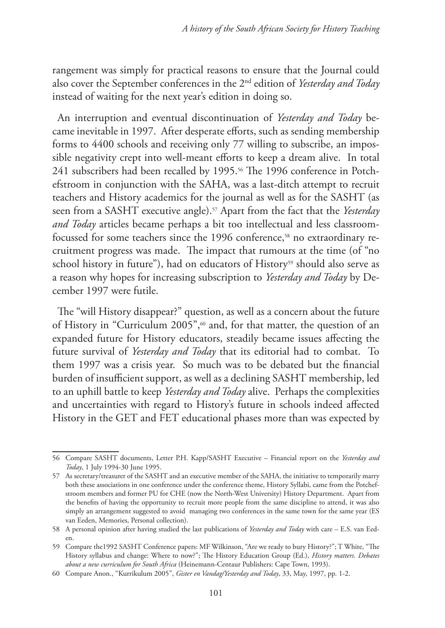rangement was simply for practical reasons to ensure that the Journal could also cover the September conferences in the 2nd edition of *Yesterday and Today* instead of waiting for the next year's edition in doing so.

An interruption and eventual discontinuation of *Yesterday and Today* became inevitable in 1997. After desperate efforts, such as sending membership forms to 4400 schools and receiving only 77 willing to subscribe, an impossible negativity crept into well-meant efforts to keep a dream alive. In total 241 subscribers had been recalled by 1995.<sup>56</sup> The 1996 conference in Potchefstroom in conjunction with the SAHA, was a last-ditch attempt to recruit teachers and History academics for the journal as well as for the SASHT (as seen from a SASHT executive angle).57 Apart from the fact that the *Yesterday and Today* articles became perhaps a bit too intellectual and less classroomfocussed for some teachers since the 1996 conference,<sup>58</sup> no extraordinary recruitment progress was made. The impact that rumours at the time (of "no school history in future"), had on educators of History<sup>59</sup> should also serve as a reason why hopes for increasing subscription to *Yesterday and Today* by December 1997 were futile.

The "will History disappear?" question, as well as a concern about the future of History in "Curriculum 2005",<sup>60</sup> and, for that matter, the question of an expanded future for History educators, steadily became issues affecting the future survival of *Yesterday and Today* that its editorial had to combat. To them 1997 was a crisis year. So much was to be debated but the financial burden of insufficient support, as well as a declining SASHT membership, led to an uphill battle to keep *Yesterday and Today* alive. Perhaps the complexities and uncertainties with regard to History's future in schools indeed affected History in the GET and FET educational phases more than was expected by

<sup>56</sup> Compare SASHT documents, Letter P.H. Kapp/SASHT Executive – Financial report on the *Yesterday and Today*, 1 July 1994-30 June 1995.

<sup>57</sup> As secretary/treasurer of the SASHT and an executive member of the SAHA, the initiative to temporarily marry both these associations in one conference under the conference theme, History Syllabi, came from the Potchefstroom members and former PU for CHE (now the North-West University) History Department. Apart from the benefits of having the opportunity to recruit more people from the same discipline to attend, it was also simply an arrangement suggested to avoid managing two conferences in the same town for the same year (ES van Eeden, Memories, Personal collection).

<sup>58</sup> A personal opinion after having studied the last publications of *Yesterday and Today* with care – E.S. van Eeden.

<sup>59</sup> Compare the1992 SASHT Conference papers: MF Wilkinson, "Are we ready to bury History?"; T White, "The History syllabus and change: Where to now?"; The History Education Group (Ed.), *History matters. Debates about a new curriculum for South Africa* (Heinemann-Centaur Publishers: Cape Town, 1993).

<sup>60</sup> Compare Anon., "Kurrikulum 2005", *Gister en Vandag/Yesterday and Today*, 33, May, 1997, pp. 1-2.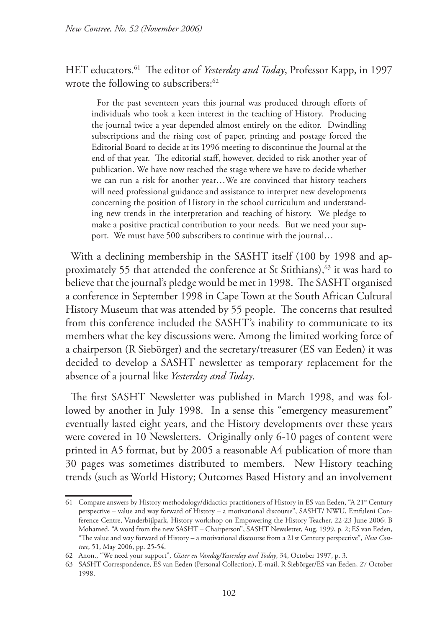HET educators.61 The editor of *Yesterday and Today*, Professor Kapp, in 1997 wrote the following to subscribers:<sup>62</sup>

For the past seventeen years this journal was produced through efforts of individuals who took a keen interest in the teaching of History. Producing the journal twice a year depended almost entirely on the editor. Dwindling subscriptions and the rising cost of paper, printing and postage forced the Editorial Board to decide at its 1996 meeting to discontinue the Journal at the end of that year. The editorial staff, however, decided to risk another year of publication. We have now reached the stage where we have to decide whether we can run a risk for another year…We are convinced that history teachers will need professional guidance and assistance to interpret new developments concerning the position of History in the school curriculum and understanding new trends in the interpretation and teaching of history. We pledge to make a positive practical contribution to your needs. But we need your support. We must have 500 subscribers to continue with the journal…

With a declining membership in the SASHT itself (100 by 1998 and approximately 55 that attended the conference at St Stithians),<sup>63</sup> it was hard to believe that the journal's pledge would be met in 1998. The SASHT organised a conference in September 1998 in Cape Town at the South African Cultural History Museum that was attended by 55 people. The concerns that resulted from this conference included the SASHT's inability to communicate to its members what the key discussions were. Among the limited working force of a chairperson (R Siebörger) and the secretary/treasurer (ES van Eeden) it was decided to develop a SASHT newsletter as temporary replacement for the absence of a journal like *Yesterday and Today*.

The first SASHT Newsletter was published in March 1998, and was followed by another in July 1998. In a sense this "emergency measurement" eventually lasted eight years, and the History developments over these years were covered in 10 Newsletters. Originally only 6-10 pages of content were printed in A5 format, but by 2005 a reasonable A4 publication of more than 30 pages was sometimes distributed to members. New History teaching trends (such as World History; Outcomes Based History and an involvement

<sup>61</sup> Compare answers by History methodology/didactics practitioners of History in ES van Eeden, "A 21<sup>st</sup> Century perspective – value and way forward of History – a motivational discourse", SASHT/ NWU, Emfuleni Conference Centre, Vanderbijlpark, History workshop on Empowering the History Teacher, 22-23 June 2006; B Mohamed, "A word from the new SASHT – Chairperson", SASHT Newsletter, Aug. 1999, p. 2; ES van Eeden, "The value and way forward of History – a motivational discourse from a 21st Century perspective", *New Contree*, 51, May 2006, pp. 25-54.

<sup>62</sup> Anon., "We need your support", *Gister en Vandag/Yesterday and Today*, 34, October 1997, p. 3.

<sup>63</sup> SASHT Correspondence, ES van Eeden (Personal Collection), E-mail, R Siebörger/ES van Eeden, 27 October 1998.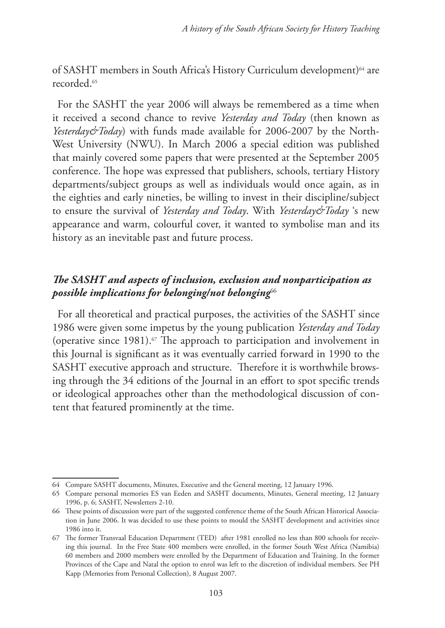of SASHT members in South Africa's History Curriculum development)<sup>64</sup> are recorded<sup>65</sup>

For the SASHT the year 2006 will always be remembered as a time when it received a second chance to revive *Yesterday and Today* (then known as *Yesterday&Today*) with funds made available for 2006-2007 by the North-West University (NWU). In March 2006 a special edition was published that mainly covered some papers that were presented at the September 2005 conference. The hope was expressed that publishers, schools, tertiary History departments/subject groups as well as individuals would once again, as in the eighties and early nineties, be willing to invest in their discipline/subject to ensure the survival of *Yesterday and Today*. With *Yesterday&Today* 's new appearance and warm, colourful cover, it wanted to symbolise man and its history as an inevitable past and future process.

# *The SASHT and aspects of inclusion, exclusion and nonparticipation as possible implications for belonging/not belonging*<sup>66</sup>

For all theoretical and practical purposes, the activities of the SASHT since 1986 were given some impetus by the young publication *Yesterday and Today* (operative since 1981).<sup> $\sigma$ </sup> The approach to participation and involvement in this Journal is significant as it was eventually carried forward in 1990 to the SASHT executive approach and structure. Therefore it is worthwhile browsing through the 34 editions of the Journal in an effort to spot specific trends or ideological approaches other than the methodological discussion of content that featured prominently at the time.

<sup>64</sup> Compare SASHT documents, Minutes, Executive and the General meeting, 12 January 1996.

<sup>65</sup> Compare personal memories ES van Eeden and SASHT documents, Minutes, General meeting, 12 January 1996, p. 6; SASHT, Newsletters 2-10.

<sup>66</sup> These points of discussion were part of the suggested conference theme of the South African Historical Association in June 2006. It was decided to use these points to mould the SASHT development and activities since 1986 into it.

<sup>67</sup> The former Transvaal Education Department (TED) after 1981 enrolled no less than 800 schools for receiving this journal. In the Free State 400 members were enrolled, in the former South West Africa (Namibia) 60 members and 2000 members were enrolled by the Department of Education and Training. In the former Provinces of the Cape and Natal the option to enrol was left to the discretion of individual members. See PH Kapp (Memories from Personal Collection), 8 August 2007.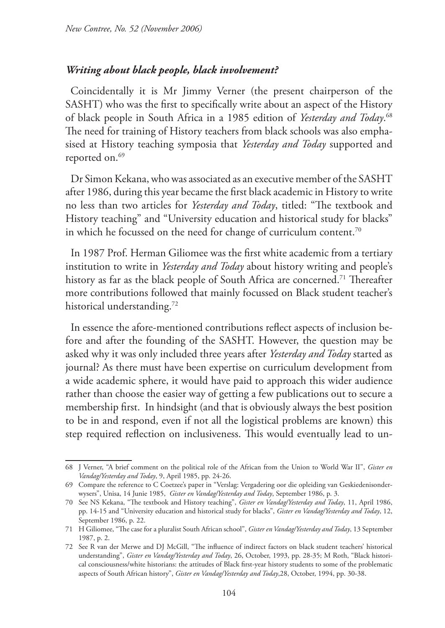#### *Writing about black people, black involvement?*

Coincidentally it is Mr Jimmy Verner (the present chairperson of the SASHT) who was the first to specifically write about an aspect of the History of black people in South Africa in a 1985 edition of *Yesterday and Today*. 68 The need for training of History teachers from black schools was also emphasised at History teaching symposia that *Yesterday and Today* supported and reported on.<sup>69</sup>

Dr Simon Kekana, who was associated as an executive member of the SASHT after 1986, during this year became the first black academic in History to write no less than two articles for *Yesterday and Today*, titled: "The textbook and History teaching" and "University education and historical study for blacks" in which he focussed on the need for change of curriculum content.<sup>70</sup>

In 1987 Prof. Herman Giliomee was the first white academic from a tertiary institution to write in *Yesterday and Today* about history writing and people's history as far as the black people of South Africa are concerned.<sup>71</sup> Thereafter more contributions followed that mainly focussed on Black student teacher's historical understanding.<sup>72</sup>

In essence the afore-mentioned contributions reflect aspects of inclusion before and after the founding of the SASHT. However, the question may be asked why it was only included three years after *Yesterday and Today* started as journal? As there must have been expertise on curriculum development from a wide academic sphere, it would have paid to approach this wider audience rather than choose the easier way of getting a few publications out to secure a membership first. In hindsight (and that is obviously always the best position to be in and respond, even if not all the logistical problems are known) this step required reflection on inclusiveness. This would eventually lead to un-

<sup>68</sup> J Verner, "A brief comment on the political role of the African from the Union to World War II", *Gister en Vandag/Yesterday and Today*, 9, April 1985, pp. 24-26.

<sup>69</sup> Compare the reference to C Coetzee's paper in "Verslag: Vergadering oor die opleiding van Geskiedenisonderwysers", Unisa, 14 Junie 1985, *Gister en Vandag/Yesterday and Today*, September 1986, p. 3.

<sup>70</sup> See NS Kekana, "The textbook and History teaching", *Gister en Vandag/Yesterday and Today*, 11, April 1986, pp. 14-15 and "University education and historical study for blacks", *Gister en Vandag/Yesterday and Today*, 12, September 1986, p. 22.

<sup>71</sup> H Giliomee, "The case for a pluralist South African school", *Gister en Vandag/Yesterday and Today*, 13 September 1987, p. 2.

<sup>72</sup> See R van der Merwe and DJ McGill, "The influence of indirect factors on black student teachers' historical understanding", *Gister en Vandag/Yesterday and Today*, 26, October, 1993, pp. 28-35; M Roth, "Black historical consciousness/white historians: the attitudes of Black first-year history students to some of the problematic aspects of South African history", *Gister en Vandag/Yesterday and Today*,28, October, 1994, pp. 30-38.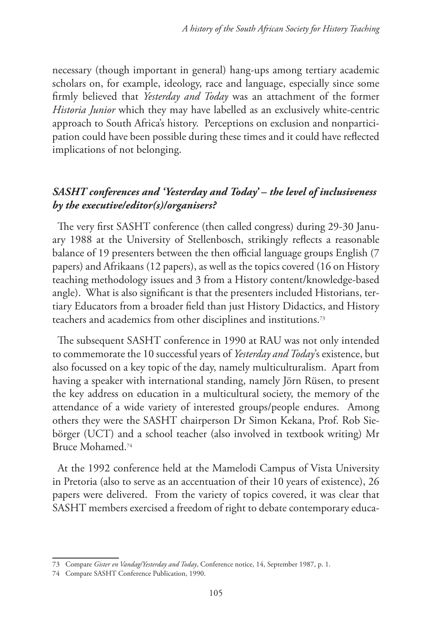necessary (though important in general) hang-ups among tertiary academic scholars on, for example, ideology, race and language, especially since some firmly believed that *Yesterday and Today* was an attachment of the former *Historia Junior* which they may have labelled as an exclusively white-centric approach to South Africa's history. Perceptions on exclusion and nonparticipation could have been possible during these times and it could have reflected implications of not belonging.

## *SASHT conferences and 'Yesterday and Today' – the level of inclusiveness by the executive/editor(s)/organisers?*

The very first SASHT conference (then called congress) during 29-30 January 1988 at the University of Stellenbosch, strikingly reflects a reasonable balance of 19 presenters between the then official language groups English (7 papers) and Afrikaans (12 papers), as well as the topics covered (16 on History teaching methodology issues and 3 from a History content/knowledge-based angle). What is also significant is that the presenters included Historians, tertiary Educators from a broader field than just History Didactics, and History teachers and academics from other disciplines and institutions.73

The subsequent SASHT conference in 1990 at RAU was not only intended to commemorate the 10 successful years of *Yesterday and Today*'s existence, but also focussed on a key topic of the day, namely multiculturalism. Apart from having a speaker with international standing, namely Jörn Rüsen, to present the key address on education in a multicultural society, the memory of the attendance of a wide variety of interested groups/people endures. Among others they were the SASHT chairperson Dr Simon Kekana, Prof. Rob Siebörger (UCT) and a school teacher (also involved in textbook writing) Mr Bruce Mohamed.74

At the 1992 conference held at the Mamelodi Campus of Vista University in Pretoria (also to serve as an accentuation of their 10 years of existence), 26 papers were delivered. From the variety of topics covered, it was clear that SASHT members exercised a freedom of right to debate contemporary educa-

<sup>73</sup> Compare *Gister en Vandag/Yesterday and Today*, Conference notice, 14, September 1987, p. 1.

<sup>74</sup> Compare SASHT Conference Publication, 1990.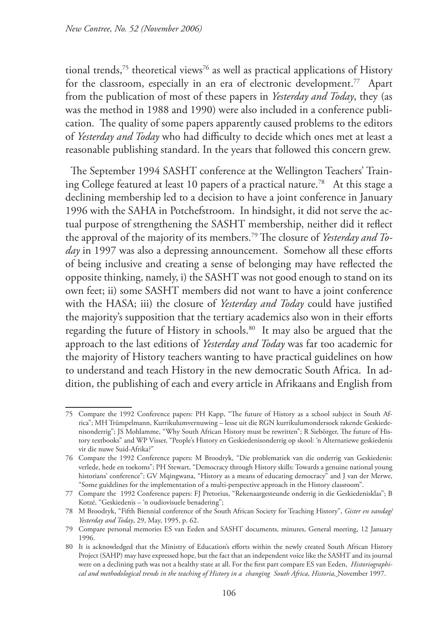tional trends,<sup>75</sup> theoretical views<sup>76</sup> as well as practical applications of History for the classroom, especially in an era of electronic development.<sup>77</sup> Apart from the publication of most of these papers in *Yesterday and Today*, they (as was the method in 1988 and 1990) were also included in a conference publication. The quality of some papers apparently caused problems to the editors of *Yesterday and Today* who had difficulty to decide which ones met at least a reasonable publishing standard. In the years that followed this concern grew.

The September 1994 SASHT conference at the Wellington Teachers' Training College featured at least 10 papers of a practical nature.78 At this stage a declining membership led to a decision to have a joint conference in January 1996 with the SAHA in Potchefstroom. In hindsight, it did not serve the actual purpose of strengthening the SASHT membership, neither did it reflect the approval of the majority of its members.79 The closure of *Yesterday and Today* in 1997 was also a depressing announcement. Somehow all these efforts of being inclusive and creating a sense of belonging may have reflected the opposite thinking, namely, i) the SASHT was not good enough to stand on its own feet; ii) some SASHT members did not want to have a joint conference with the HASA; iii) the closure of *Yesterday and Today* could have justified the majority's supposition that the tertiary academics also won in their efforts regarding the future of History in schools.<sup>80</sup> It may also be argued that the approach to the last editions of *Yesterday and Today* was far too academic for the majority of History teachers wanting to have practical guidelines on how to understand and teach History in the new democratic South Africa. In addition, the publishing of each and every article in Afrikaans and English from

<sup>75</sup> Compare the 1992 Conference papers: PH Kapp, "The future of History as a school subject in South Africa"; MH Trümpelmann, Kurrikulumvernuwing – lesse uit die RGN kurrikulumondersoek rakende Geskiedenisonderrig"; JS Mohlamme, "Why South African History must be rewritten"; R Siebörger, The future of History textbooks" and WP Visser, "People's History en Geskiedenisonderrig op skool: 'n Alternatiewe geskiedenis vir die nuwe Suid-Afrika?"

<sup>76</sup> Compare the 1992 Conference papers: M Broodryk, "Die problematiek van die onderrig van Geskiedenis: verlede, hede en toekoms"; PH Stewart, "Democracy through History skills: Towards a genuine national young historians' conference"; GV Mqingwana, "History as a means of educating democracy" and J van der Merwe, "Some guidelines for the implementation of a multi-perspective approach in the History classroom".

<sup>77</sup> Compare the 1992 Conference papers: FJ Pretorius, "Rekenaargesteunde onderrig in die Geskiedenisklas"; B Kotzé, "Geskiedenis – 'n oudiovisuele benadering";

<sup>78</sup> M Broodryk, "Fifth Biennial conference of the South African Society for Teaching History", *Gister en vandag/ Yesterday and Today*, 29, May, 1995, p. 62.

<sup>79</sup> Compare personal memories ES van Eeden and SASHT documents, minutes, General meeting, 12 January 1996.

<sup>80</sup> It is acknowledged that the Ministry of Education's efforts within the newly created South African History Project (SAHP) may have expressed hope, but the fact that an independent voice like the SASHT and its journal were on a declining path was not a healthy state at all. For the first part compare ES van Eeden, *Historiographical and methodological trends in the teaching of History in a changing South Africa*, *Historia,* November 1997.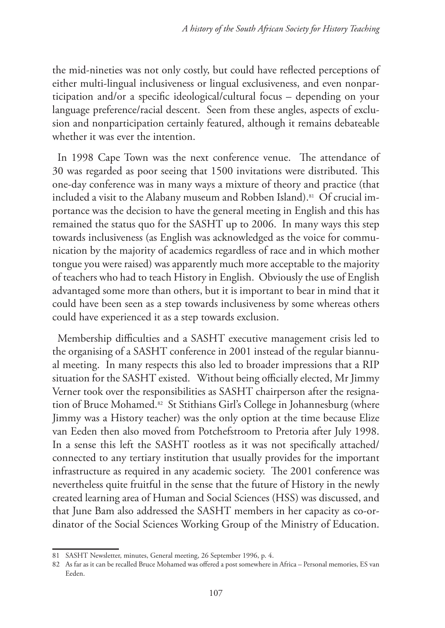the mid-nineties was not only costly, but could have reflected perceptions of either multi-lingual inclusiveness or lingual exclusiveness, and even nonparticipation and/or a specific ideological/cultural focus – depending on your language preference/racial descent. Seen from these angles, aspects of exclusion and nonparticipation certainly featured, although it remains debateable whether it was ever the intention.

In 1998 Cape Town was the next conference venue. The attendance of 30 was regarded as poor seeing that 1500 invitations were distributed. This one-day conference was in many ways a mixture of theory and practice (that included a visit to the Alabany museum and Robben Island).<sup>81</sup> Of crucial importance was the decision to have the general meeting in English and this has remained the status quo for the SASHT up to 2006. In many ways this step towards inclusiveness (as English was acknowledged as the voice for communication by the majority of academics regardless of race and in which mother tongue you were raised) was apparently much more acceptable to the majority of teachers who had to teach History in English. Obviously the use of English advantaged some more than others, but it is important to bear in mind that it could have been seen as a step towards inclusiveness by some whereas others could have experienced it as a step towards exclusion.

Membership difficulties and a SASHT executive management crisis led to the organising of a SASHT conference in 2001 instead of the regular biannual meeting. In many respects this also led to broader impressions that a RIP situation for the SASHT existed. Without being officially elected, Mr Jimmy Verner took over the responsibilities as SASHT chairperson after the resignation of Bruce Mohamed.<sup>82</sup> St Stithians Girl's College in Johannesburg (where Jimmy was a History teacher) was the only option at the time because Elize van Eeden then also moved from Potchefstroom to Pretoria after July 1998. In a sense this left the SASHT rootless as it was not specifically attached/ connected to any tertiary institution that usually provides for the important infrastructure as required in any academic society. The 2001 conference was nevertheless quite fruitful in the sense that the future of History in the newly created learning area of Human and Social Sciences (HSS) was discussed, and that June Bam also addressed the SASHT members in her capacity as co-ordinator of the Social Sciences Working Group of the Ministry of Education.

<sup>81</sup> SASHT Newsletter, minutes, General meeting, 26 September 1996, p. 4.

<sup>82</sup> As far as it can be recalled Bruce Mohamed was offered a post somewhere in Africa – Personal memories, ES van Eeden.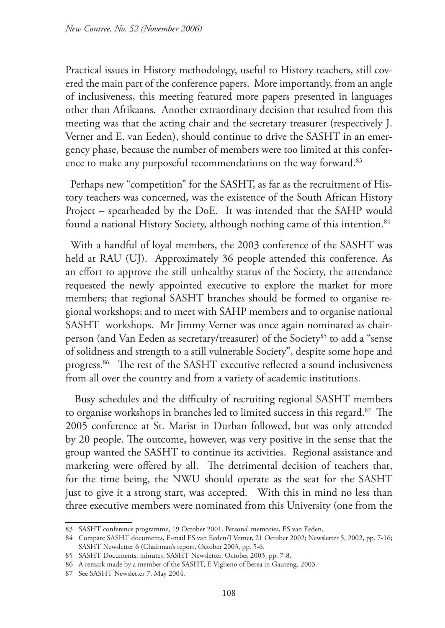Practical issues in History methodology, useful to History teachers, still covered the main part of the conference papers. More importantly, from an angle of inclusiveness, this meeting featured more papers presented in languages other than Afrikaans. Another extraordinary decision that resulted from this meeting was that the acting chair and the secretary treasurer (respectively J. Verner and E. van Eeden), should continue to drive the SASHT in an emergency phase, because the number of members were too limited at this conference to make any purposeful recommendations on the way forward.<sup>83</sup>

Perhaps new "competition" for the SASHT, as far as the recruitment of History teachers was concerned, was the existence of the South African History Project – spearheaded by the DoE. It was intended that the SAHP would found a national History Society, although nothing came of this intention.<sup>84</sup>

With a handful of loyal members, the 2003 conference of the SASHT was held at RAU (UJ). Approximately 36 people attended this conference. As an effort to approve the still unhealthy status of the Society, the attendance requested the newly appointed executive to explore the market for more members; that regional SASHT branches should be formed to organise regional workshops; and to meet with SAHP members and to organise national SASHT workshops. Mr Jimmy Verner was once again nominated as chairperson (and Van Eeden as secretary/treasurer) of the Society<sup>85</sup> to add a "sense of solidness and strength to a still vulnerable Society", despite some hope and progress.<sup>86</sup> The rest of the SASHT executive reflected a sound inclusiveness from all over the country and from a variety of academic institutions.

Busy schedules and the difficulty of recruiting regional SASHT members to organise workshops in branches led to limited success in this regard.87 The 2005 conference at St. Marist in Durban followed, but was only attended by 20 people. The outcome, however, was very positive in the sense that the group wanted the SASHT to continue its activities. Regional assistance and marketing were offered by all. The detrimental decision of teachers that, for the time being, the NWU should operate as the seat for the SASHT just to give it a strong start, was accepted. With this in mind no less than three executive members were nominated from this University (one from the

<sup>83</sup> SASHT conference programme, 19 October 2001. Personal memories, ES van Eeden.

<sup>84</sup> Compare SASHT documents, E-mail ES van Eeden/J Verner, 21 October 2002; Newsletter 5, 2002, pp. 7-16; SASHT Newsletter 6 (Chairman's report, October 2003, pp. 5-6.

<sup>85</sup> SASHT Documents, minutes, SASHT Newsletter, October 2003, pp. 7-8.

<sup>86</sup> A remark made by a member of the SASHT, E Viglieno of Berea in Gauteng, 2003.

<sup>87</sup> See SASHT Newsletter 7, May 2004.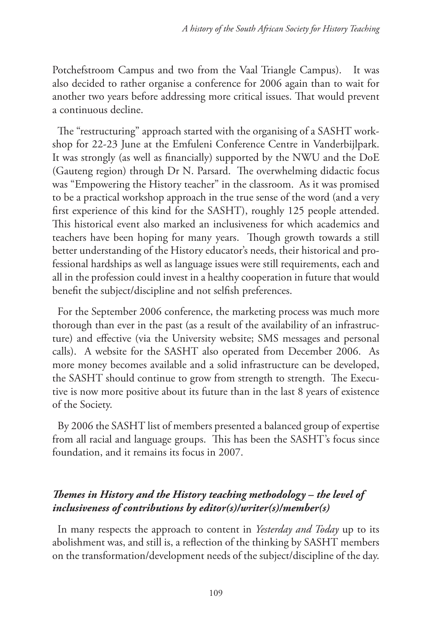Potchefstroom Campus and two from the Vaal Triangle Campus). It was also decided to rather organise a conference for 2006 again than to wait for another two years before addressing more critical issues. That would prevent a continuous decline.

The "restructuring" approach started with the organising of a SASHT workshop for 22-23 June at the Emfuleni Conference Centre in Vanderbijlpark. It was strongly (as well as financially) supported by the NWU and the DoE (Gauteng region) through Dr N. Parsard. The overwhelming didactic focus was "Empowering the History teacher" in the classroom. As it was promised to be a practical workshop approach in the true sense of the word (and a very first experience of this kind for the SASHT), roughly 125 people attended. This historical event also marked an inclusiveness for which academics and teachers have been hoping for many years. Though growth towards a still better understanding of the History educator's needs, their historical and professional hardships as well as language issues were still requirements, each and all in the profession could invest in a healthy cooperation in future that would benefit the subject/discipline and not selfish preferences.

For the September 2006 conference, the marketing process was much more thorough than ever in the past (as a result of the availability of an infrastructure) and effective (via the University website; SMS messages and personal calls). A website for the SASHT also operated from December 2006. As more money becomes available and a solid infrastructure can be developed, the SASHT should continue to grow from strength to strength. The Executive is now more positive about its future than in the last 8 years of existence of the Society.

By 2006 the SASHT list of members presented a balanced group of expertise from all racial and language groups. This has been the SASHT's focus since foundation, and it remains its focus in 2007.

# *Themes in History and the History teaching methodology – the level of inclusiveness of contributions by editor(s)/writer(s)/member(s)*

In many respects the approach to content in *Yesterday and Today* up to its abolishment was, and still is, a reflection of the thinking by SASHT members on the transformation/development needs of the subject/discipline of the day.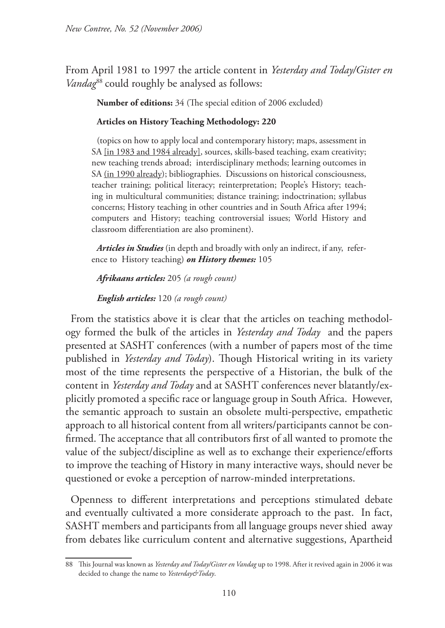From April 1981 to 1997 the article content in *Yesterday and Today/Gister en Vandag*<sup>88</sup> could roughly be analysed as follows:

**Number of editions:** 34 (The special edition of 2006 excluded)

#### **Articles on History Teaching Methodology: 220**

(topics on how to apply local and contemporary history; maps, assessment in SA [in 1983 and 1984 already], sources, skills-based teaching, exam creativity; new teaching trends abroad; interdisciplinary methods; learning outcomes in SA (in 1990 already); bibliographies. Discussions on historical consciousness, teacher training; political literacy; reinterpretation; People's History; teaching in multicultural communities; distance training; indoctrination; syllabus concerns; History teaching in other countries and in South Africa after 1994; computers and History; teaching controversial issues; World History and classroom differentiation are also prominent).

*Articles in Studies* (in depth and broadly with only an indirect, if any, reference to History teaching) *on History themes:* 105

*Afrikaans articles:* 205 *(a rough count)* 

*English articles:* 120 *(a rough count)*

From the statistics above it is clear that the articles on teaching methodology formed the bulk of the articles in *Yesterday and Today* and the papers presented at SASHT conferences (with a number of papers most of the time published in *Yesterday and Today*). Though Historical writing in its variety most of the time represents the perspective of a Historian, the bulk of the content in *Yesterday and Today* and at SASHT conferences never blatantly/explicitly promoted a specific race or language group in South Africa. However, the semantic approach to sustain an obsolete multi-perspective, empathetic approach to all historical content from all writers/participants cannot be confirmed. The acceptance that all contributors first of all wanted to promote the value of the subject/discipline as well as to exchange their experience/efforts to improve the teaching of History in many interactive ways, should never be questioned or evoke a perception of narrow-minded interpretations.

Openness to different interpretations and perceptions stimulated debate and eventually cultivated a more considerate approach to the past. In fact, SASHT members and participants from all language groups never shied away from debates like curriculum content and alternative suggestions, Apartheid

<sup>88</sup> This Journal was known as *Yesterday and Today/Gister en Vandag* up to 1998. After it revived again in 2006 it was decided to change the name to *Yesterday&Today*.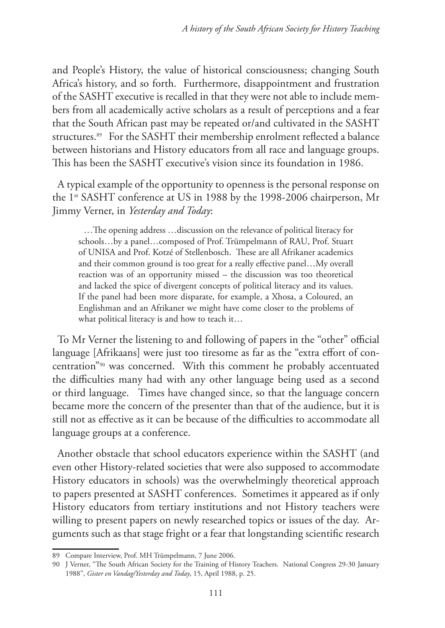and People's History, the value of historical consciousness; changing South Africa's history, and so forth. Furthermore, disappointment and frustration of the SASHT executive is recalled in that they were not able to include members from all academically active scholars as a result of perceptions and a fear that the South African past may be repeated or/and cultivated in the SASHT structures.<sup>89</sup> For the SASHT their membership enrolment reflected a balance between historians and History educators from all race and language groups. This has been the SASHT executive's vision since its foundation in 1986.

A typical example of the opportunity to openness is the personal response on the 1<sup>st</sup> SASHT conference at US in 1988 by the 1998-2006 chairperson, Mr Jimmy Verner, in *Yesterday and Today*:

…The opening address …discussion on the relevance of political literacy for schools…by a panel…composed of Prof. Trümpelmann of RAU, Prof. Stuart of UNISA and Prof. Kotzé of Stellenbosch. These are all Afrikaner academics and their common ground is too great for a really effective panel…My overall reaction was of an opportunity missed – the discussion was too theoretical and lacked the spice of divergent concepts of political literacy and its values. If the panel had been more disparate, for example, a Xhosa, a Coloured, an Englishman and an Afrikaner we might have come closer to the problems of what political literacy is and how to teach it…

To Mr Verner the listening to and following of papers in the "other" official language [Afrikaans] were just too tiresome as far as the "extra effort of concentration"90 was concerned. With this comment he probably accentuated the difficulties many had with any other language being used as a second or third language. Times have changed since, so that the language concern became more the concern of the presenter than that of the audience, but it is still not as effective as it can be because of the difficulties to accommodate all language groups at a conference.

Another obstacle that school educators experience within the SASHT (and even other History-related societies that were also supposed to accommodate History educators in schools) was the overwhelmingly theoretical approach to papers presented at SASHT conferences. Sometimes it appeared as if only History educators from tertiary institutions and not History teachers were willing to present papers on newly researched topics or issues of the day. Arguments such as that stage fright or a fear that longstanding scientific research

<sup>89</sup> Compare Interview, Prof. MH Trümpelmann, 7 June 2006.

<sup>90</sup> J Verner, "The South African Society for the Training of History Teachers. National Congress 29-30 January 1988", *Gister en Vandag/Yesterday and Today*, 15, April 1988, p. 25.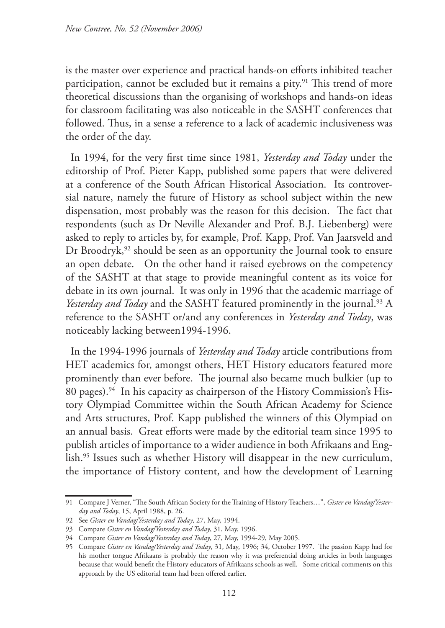is the master over experience and practical hands-on efforts inhibited teacher participation, cannot be excluded but it remains a pity.<sup>91</sup> This trend of more theoretical discussions than the organising of workshops and hands-on ideas for classroom facilitating was also noticeable in the SASHT conferences that followed. Thus, in a sense a reference to a lack of academic inclusiveness was the order of the day.

In 1994, for the very first time since 1981, *Yesterday and Today* under the editorship of Prof. Pieter Kapp, published some papers that were delivered at a conference of the South African Historical Association. Its controversial nature, namely the future of History as school subject within the new dispensation, most probably was the reason for this decision. The fact that respondents (such as Dr Neville Alexander and Prof. B.J. Liebenberg) were asked to reply to articles by, for example, Prof. Kapp, Prof. Van Jaarsveld and Dr Broodryk,<sup>92</sup> should be seen as an opportunity the Journal took to ensure an open debate. On the other hand it raised eyebrows on the competency of the SASHT at that stage to provide meaningful content as its voice for debate in its own journal. It was only in 1996 that the academic marriage of *Yesterday and Today* and the SASHT featured prominently in the journal.<sup>93</sup> A reference to the SASHT or/and any conferences in *Yesterday and Today*, was noticeably lacking between1994-1996.

In the 1994-1996 journals of *Yesterday and Today* article contributions from HET academics for, amongst others, HET History educators featured more prominently than ever before. The journal also became much bulkier (up to 80 pages).<sup>94</sup> In his capacity as chairperson of the History Commission's History Olympiad Committee within the South African Academy for Science and Arts structures, Prof. Kapp published the winners of this Olympiad on an annual basis. Great efforts were made by the editorial team since 1995 to publish articles of importance to a wider audience in both Afrikaans and English.95 Issues such as whether History will disappear in the new curriculum, the importance of History content, and how the development of Learning

<sup>91</sup> Compare J Verner, "The South African Society for the Training of History Teachers…", *Gister en Vandag/Yesterday and Today*, 15, April 1988, p. 26.

<sup>92</sup> See *Gister en Vandag/Yesterday and Today*, 27, May, 1994.

<sup>93</sup> Compare *Gister en Vandag/Yesterday and Today*, 31, May, 1996.

<sup>94</sup> Compare *Gister en Vandag/Yesterday and Today*, 27, May, 1994-29, May 2005.

<sup>95</sup> Compare *Gister en Vandag/Yesterday and Today*, 31, May, 1996; 34, October 1997. The passion Kapp had for his mother tongue Afrikaans is probably the reason why it was preferential doing articles in both languages because that would benefit the History educators of Afrikaans schools as well. Some critical comments on this approach by the US editorial team had been offered earlier.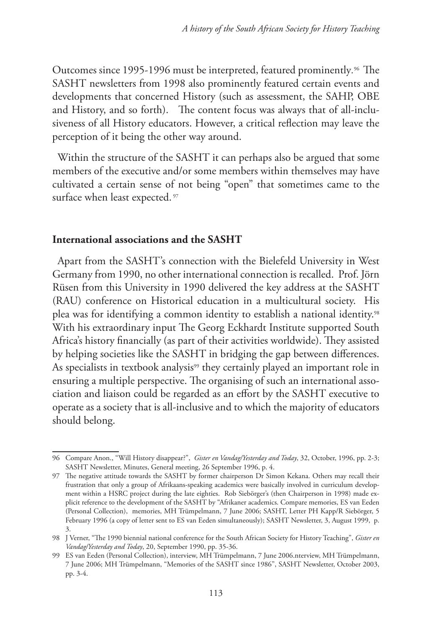Outcomes since 1995-1996 must be interpreted, featured prominently*.* 96 The SASHT newsletters from 1998 also prominently featured certain events and developments that concerned History (such as assessment, the SAHP, OBE and History, and so forth). The content focus was always that of all-inclusiveness of all History educators. However, a critical reflection may leave the perception of it being the other way around.

Within the structure of the SASHT it can perhaps also be argued that some members of the executive and/or some members within themselves may have cultivated a certain sense of not being "open" that sometimes came to the surface when least expected.<sup>97</sup>

#### **International associations and the SASHT**

Apart from the SASHT's connection with the Bielefeld University in West Germany from 1990, no other international connection is recalled. Prof. Jörn Rüsen from this University in 1990 delivered the key address at the SASHT (RAU) conference on Historical education in a multicultural society. His plea was for identifying a common identity to establish a national identity.98 With his extraordinary input The Georg Eckhardt Institute supported South Africa's history financially (as part of their activities worldwide). They assisted by helping societies like the SASHT in bridging the gap between differences. As specialists in textbook analysis<sup>99</sup> they certainly played an important role in ensuring a multiple perspective. The organising of such an international association and liaison could be regarded as an effort by the SASHT executive to operate as a society that is all-inclusive and to which the majority of educators should belong.

<sup>96</sup> Compare Anon., "Will History disappear?", *Gister en Vandag/Yesterday and Today*, 32, October, 1996, pp. 2-3; SASHT Newsletter, Minutes, General meeting, 26 September 1996, p. 4.

<sup>97</sup> The negative attitude towards the SASHT by former chairperson Dr Simon Kekana. Others may recall their frustration that only a group of Afrikaans-speaking academics were basically involved in curriculum development within a HSRC project during the late eighties. Rob Siebörger's (then Chairperson in 1998) made explicit reference to the development of the SASHT by "Afrikaner academics. Compare memories, ES van Eeden (Personal Collection), memories, MH Trümpelmann, 7 June 2006; SASHT, Letter PH Kapp/R Siebörger, 5 February 1996 (a copy of letter sent to ES van Eeden simultaneously); SASHT Newsletter, 3, August 1999, p. 3.

<sup>98</sup> J Verner, "The 1990 biennial national conference for the South African Society for History Teaching", *Gister en Vandag/Yesterday and Today*, 20, September 1990, pp. 35-36.

<sup>99</sup> ES van Eeden (Personal Collection), interview, MH Trümpelmann, 7 June 2006.nterview, MH Trümpelmann, 7 June 2006; MH Trümpelmann, "Memories of the SASHT since 1986", SASHT Newsletter, October 2003, pp. 3-4.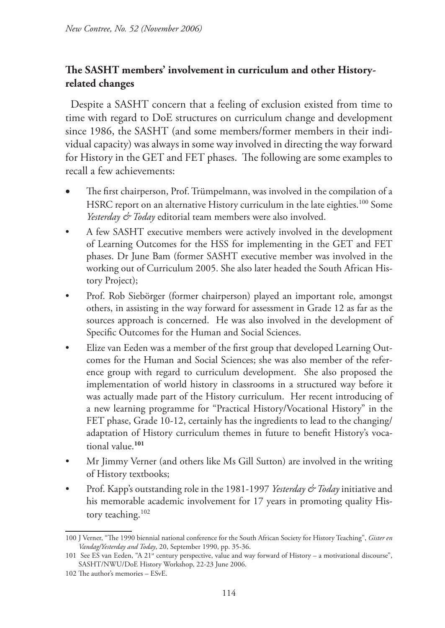# **The SASHT members' involvement in curriculum and other Historyrelated changes**

Despite a SASHT concern that a feeling of exclusion existed from time to time with regard to DoE structures on curriculum change and development since 1986, the SASHT (and some members/former members in their individual capacity) was always in some way involved in directing the way forward for History in the GET and FET phases. The following are some examples to recall a few achievements:

- The first chairperson, Prof. Trümpelmann, was involved in the compilation of a HSRC report on an alternative History curriculum in the late eighties.<sup>100</sup> Some *Yesterday & Today* editorial team members were also involved.
- A few SASHT executive members were actively involved in the development of Learning Outcomes for the HSS for implementing in the GET and FET phases. Dr June Bam (former SASHT executive member was involved in the working out of Curriculum 2005. She also later headed the South African History Project);
- Prof. Rob Siebörger (former chairperson) played an important role, amongst others, in assisting in the way forward for assessment in Grade 12 as far as the sources approach is concerned. He was also involved in the development of Specific Outcomes for the Human and Social Sciences.
- Elize van Eeden was a member of the first group that developed Learning Outcomes for the Human and Social Sciences; she was also member of the reference group with regard to curriculum development. She also proposed the implementation of world history in classrooms in a structured way before it was actually made part of the History curriculum. Her recent introducing of a new learning programme for "Practical History/Vocational History" in the FET phase, Grade 10-12, certainly has the ingredients to lead to the changing/ adaptation of History curriculum themes in future to benefit History's vocational value.**<sup>101</sup>**
- Mr Jimmy Verner (and others like Ms Gill Sutton) are involved in the writing of History textbooks;
- Prof. Kapp's outstanding role in the 1981-1997 *Yesterday & Today* initiative and his memorable academic involvement for 17 years in promoting quality History teaching.102

<sup>100</sup> J Verner, "The 1990 biennial national conference for the South African Society for History Teaching", *Gister en Vandag/Yesterday and Today*, 20, September 1990, pp. 35-36.

<sup>101</sup> See ES van Eeden, "A 21<sup>st</sup> century perspective, value and way forward of History – a motivational discourse", SASHT/NWU/DoE History Workshop, 22-23 June 2006.

<sup>102</sup> The author's memories – ESvE.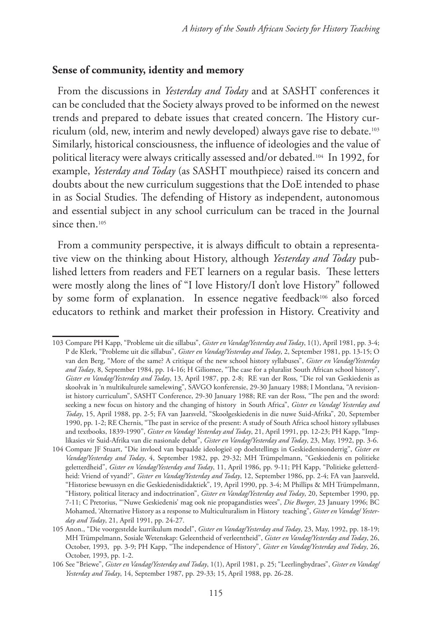#### **Sense of community, identity and memory**

From the discussions in *Yesterday and Today* and at SASHT conferences it can be concluded that the Society always proved to be informed on the newest trends and prepared to debate issues that created concern. The History curriculum (old, new, interim and newly developed) always gave rise to debate.103 Similarly, historical consciousness, the influence of ideologies and the value of political literacy were always critically assessed and/or debated.104 In 1992, for example, *Yesterday and Today* (as SASHT mouthpiece) raised its concern and doubts about the new curriculum suggestions that the DoE intended to phase in as Social Studies. The defending of History as independent, autonomous and essential subject in any school curriculum can be traced in the Journal since then.<sup>105</sup>

From a community perspective, it is always difficult to obtain a representative view on the thinking about History, although *Yesterday and Today* published letters from readers and FET learners on a regular basis. These letters were mostly along the lines of "I love History/I don't love History" followed by some form of explanation. In essence negative feedback<sup>106</sup> also forced educators to rethink and market their profession in History. Creativity and

<sup>103</sup> Compare PH Kapp, "Probleme uit die sillabus", *Gister en Vandag/Yesterday and Today*, 1(1), April 1981, pp. 3-4; P de Klerk, "Probleme uit die sillabus", *Gister en Vandag/Yesterday and Today*, 2, September 1981, pp. 13-15; O van den Berg, "More of the same? A critique of the new school history syllabuses", *Gister en Vandag/Yesterday and Today*, 8, September 1984, pp. 14-16; H Giliomee, "The case for a pluralist South African school history", *Gister en Vandag/Yesterday and Today*, 13, April 1987, pp. 2-8; RE van der Ross, "Die rol van Geskiedenis as skoolvak in 'n multikulturele samelewing", SAVGO konferensie, 29-30 January 1988; I Montlana, "A revisionist history curriculum", SASHT Conference, 29-30 January 1988; RE van der Ross, "The pen and the sword: seeking a new focus on history and the changing of history in South Africa", *Gister en Vandag/ Yesterday and Today*, 15, April 1988, pp. 2-5; FA van Jaarsveld, "Skoolgeskiedenis in die nuwe Suid-Afrika", 20, September 1990, pp. 1-2; RE Chernis, "The past in service of the present: A study of South Africa school history syllabuses and textbooks, 1839-1990", *Gister en Vandag/ Yesterday and Today*, 21, April 1991, pp. 12-23; PH Kapp, "Implikasies vir Suid-Afrika van die nasionale debat", *Gister en Vandag/Yesterday and Today*, 23, May, 1992, pp. 3-6.

<sup>104</sup> Compare JF Stuart, "Die invloed van bepaalde ideologieë op doelstellings in Geskiedenisonderrig", *Gister en Vandag/Yesterday and Today*, 4, September 1982, pp. 29-32; MH Trümpelmann, "Geskiedenis en politieke geletterdheid", *Gister en Vandag/Yesterday and Today*, 11, April 1986, pp. 9-11; PH Kapp, "Politieke geletterdheid: Vriend of vyand?", *Gister en Vandag/Yesterday and Today*, 12, September 1986, pp. 2-4; FA van Jaarsveld, "Historiese bewussyn en die Geskiedenisdidaktiek", 19, April 1990, pp. 3-4; M Phillips & MH Trümpelmann, "History, political literacy and indoctrination", *Gister en Vandag/Yesterday and Today*, 20, September 1990, pp. 7-11; C Pretorius, "'Nuwe Geskiedenis' mag ook nie propagandisties wees", *Die Burger*, 23 January 1996; BC Mohamed, 'Alternative History as a response to Multiculturalism in History teaching", *Gister en Vandag/ Yesterday and Today*, 21, April 1991, pp. 24-27.

<sup>105</sup> Anon., "Die voorgestelde kurrikulum model", *Gister en Vandag/Yesterday and Today*, 23, May, 1992, pp. 18-19; MH Trümpelmann, Sosiale Wetenskap: Geleentheid of verleentheid", *Gister en Vandag/Yesterday and Today*, 26, October, 1993, pp. 3-9; PH Kapp, "The independence of History", *Gister en Vandag/Yesterday and Today*, 26, October, 1993, pp. 1-2.

<sup>106</sup> See "Briewe", *Gister en Vandag/Yesterday and Today*, 1(1), April 1981, p. 25; "Leerlingbydraes", *Gister en Vandag/ Yesterday and Today*, 14, September 1987, pp. 29-33; 15, April 1988, pp. 26-28.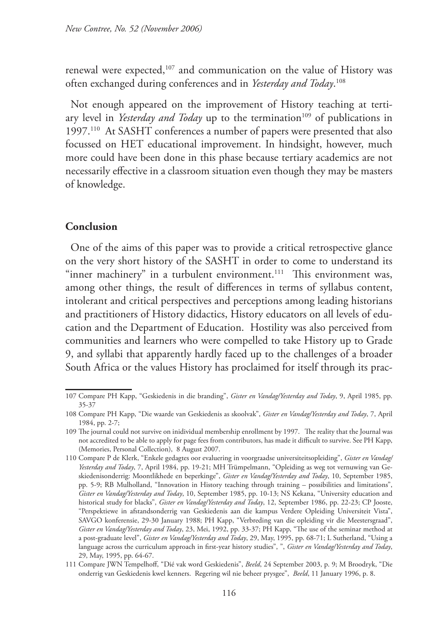renewal were expected,<sup>107</sup> and communication on the value of History was often exchanged during conferences and in *Yesterday and Today*. 108

Not enough appeared on the improvement of History teaching at tertiary level in *Yesterday and Today* up to the termination<sup>109</sup> of publications in 1997.110 At SASHT conferences a number of papers were presented that also focussed on HET educational improvement. In hindsight, however, much more could have been done in this phase because tertiary academics are not necessarily effective in a classroom situation even though they may be masters of knowledge.

#### **Conclusion**

One of the aims of this paper was to provide a critical retrospective glance on the very short history of the SASHT in order to come to understand its "inner machinery" in a turbulent environment.<sup>111</sup> This environment was, among other things, the result of differences in terms of syllabus content, intolerant and critical perspectives and perceptions among leading historians and practitioners of History didactics, History educators on all levels of education and the Department of Education. Hostility was also perceived from communities and learners who were compelled to take History up to Grade 9, and syllabi that apparently hardly faced up to the challenges of a broader South Africa or the values History has proclaimed for itself through its prac-

<sup>107</sup> Compare PH Kapp, "Geskiedenis in die branding", *Gister en Vandag/Yesterday and Today*, 9, April 1985, pp. 35-37

<sup>108</sup> Compare PH Kapp, "Die waarde van Geskiedenis as skoolvak", *Gister en Vandag/Yesterday and Today*, 7, April 1984, pp. 2-7;

<sup>109</sup> The journal could not survive on inidividual membership enrollment by 1997. The reality that the Journal was not accredited to be able to apply for page fees from contributors, has made it difficult to survive. See PH Kapp, (Memories, Personal Collection), 8 August 2007.

<sup>110</sup> Compare P de Klerk, "Enkele gedagtes oor evaluering in voorgraadse universiteitsopleiding", *Gister en Vandag/ Yesterday and Today*, 7, April 1984, pp. 19-21; MH Trümpelmann, "Opleiding as weg tot vernuwing van Geskiedenisonderrig: Moontlikhede en beperkinge", *Gister en Vandag/Yesterday and Today*, 10, September 1985, pp. 5-9; RB Mulholland, "Innovation in History teaching through training – possibilities and limitations", *Gister en Vandag/Yesterday and Today*, 10, September 1985, pp. 10-13; NS Kekana, "University education and historical study for blacks", *Gister en Vandag/Yesterday and Today*, 12, September 1986, pp. 22-23; CP Jooste, "Perspektiewe in afstandsonderrig van Geskiedenis aan die kampus Verdere Opleiding Universiteit Vista", SAVGO konferensie, 29-30 January 1988; PH Kapp, "Verbreding van die opleiding vir die Meestersgraad", *Gister en Vandag/Yesterday and Today*, 23, Mei, 1992, pp. 33-37; PH Kapp, "The use of the seminar method at a post-graduate level", *Gister en Vandag/Yesterday and Today*, 29, May, 1995, pp. 68-71; L Sutherland, "Using a language across the curriculum approach in first-year history studies", ", *Gister en Vandag/Yesterday and Today*, 29, May, 1995, pp. 64-67.

<sup>111</sup> Compare JWN Tempelhoff, "Dié vak word Geskiedenis", *Beeld*, 24 September 2003, p. 9; M Broodryk, "Die onderrig van Geskiedenis kwel kenners. Regering wil nie beheer prysgee", *Beeld*, 11 January 1996, p. 8.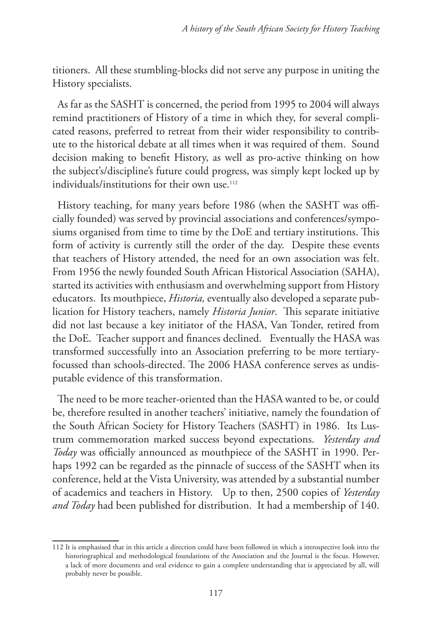titioners. All these stumbling-blocks did not serve any purpose in uniting the History specialists.

As far as the SASHT is concerned, the period from 1995 to 2004 will always remind practitioners of History of a time in which they, for several complicated reasons, preferred to retreat from their wider responsibility to contribute to the historical debate at all times when it was required of them. Sound decision making to benefit History, as well as pro-active thinking on how the subject's/discipline's future could progress, was simply kept locked up by individuals/institutions for their own use.112

History teaching, for many years before 1986 (when the SASHT was officially founded) was served by provincial associations and conferences/symposiums organised from time to time by the DoE and tertiary institutions. This form of activity is currently still the order of the day. Despite these events that teachers of History attended, the need for an own association was felt. From 1956 the newly founded South African Historical Association (SAHA), started its activities with enthusiasm and overwhelming support from History educators. Its mouthpiece, *Historia,* eventually also developed a separate publication for History teachers, namely *Historia Junior*. This separate initiative did not last because a key initiator of the HASA, Van Tonder, retired from the DoE. Teacher support and finances declined. Eventually the HASA was transformed successfully into an Association preferring to be more tertiaryfocussed than schools-directed. The 2006 HASA conference serves as undisputable evidence of this transformation.

The need to be more teacher-oriented than the HASA wanted to be, or could be, therefore resulted in another teachers' initiative, namely the foundation of the South African Society for History Teachers (SASHT) in 1986. Its Lustrum commemoration marked success beyond expectations. *Yesterday and Today* was officially announced as mouthpiece of the SASHT in 1990. Perhaps 1992 can be regarded as the pinnacle of success of the SASHT when its conference, held at the Vista University, was attended by a substantial number of academics and teachers in History. Up to then, 2500 copies of *Yesterday and Today* had been published for distribution. It had a membership of 140.

<sup>112</sup> It is emphasised that in this article a direction could have been followed in which a introspective look into the historiographical and methodological foundations of the Association and the Journal is the focus. However, a lack of more documents and oral evidence to gain a complete understanding that is appreciated by all, will probably never be possible.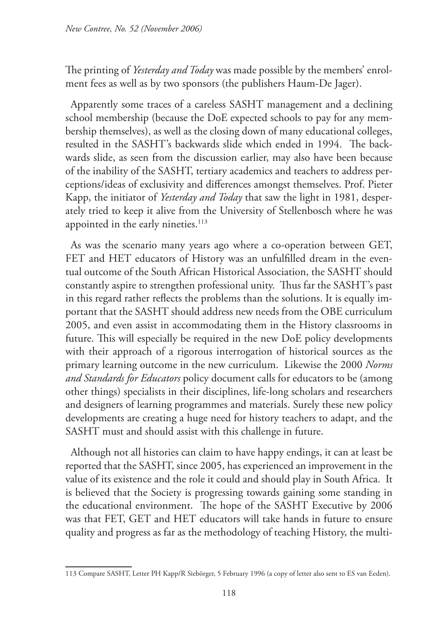The printing of *Yesterday and Today* was made possible by the members' enrolment fees as well as by two sponsors (the publishers Haum-De Jager).

Apparently some traces of a careless SASHT management and a declining school membership (because the DoE expected schools to pay for any membership themselves), as well as the closing down of many educational colleges, resulted in the SASHT's backwards slide which ended in 1994. The backwards slide, as seen from the discussion earlier, may also have been because of the inability of the SASHT, tertiary academics and teachers to address perceptions/ideas of exclusivity and differences amongst themselves. Prof. Pieter Kapp, the initiator of *Yesterday and Today* that saw the light in 1981, desperately tried to keep it alive from the University of Stellenbosch where he was appointed in the early nineties.<sup>113</sup>

As was the scenario many years ago where a co-operation between GET, FET and HET educators of History was an unfulfilled dream in the eventual outcome of the South African Historical Association, the SASHT should constantly aspire to strengthen professional unity. Thus far the SASHT's past in this regard rather reflects the problems than the solutions. It is equally important that the SASHT should address new needs from the OBE curriculum 2005, and even assist in accommodating them in the History classrooms in future. This will especially be required in the new DoE policy developments with their approach of a rigorous interrogation of historical sources as the primary learning outcome in the new curriculum. Likewise the 2000 *Norms and Standards for Educators* policy document calls for educators to be (among other things) specialists in their disciplines, life-long scholars and researchers and designers of learning programmes and materials. Surely these new policy developments are creating a huge need for history teachers to adapt, and the SASHT must and should assist with this challenge in future.

Although not all histories can claim to have happy endings, it can at least be reported that the SASHT, since 2005, has experienced an improvement in the value of its existence and the role it could and should play in South Africa. It is believed that the Society is progressing towards gaining some standing in the educational environment. The hope of the SASHT Executive by 2006 was that FET, GET and HET educators will take hands in future to ensure quality and progress as far as the methodology of teaching History, the multi-

<sup>113</sup> Compare SASHT, Letter PH Kapp/R Siebörger, 5 February 1996 (a copy of letter also sent to ES van Eeden).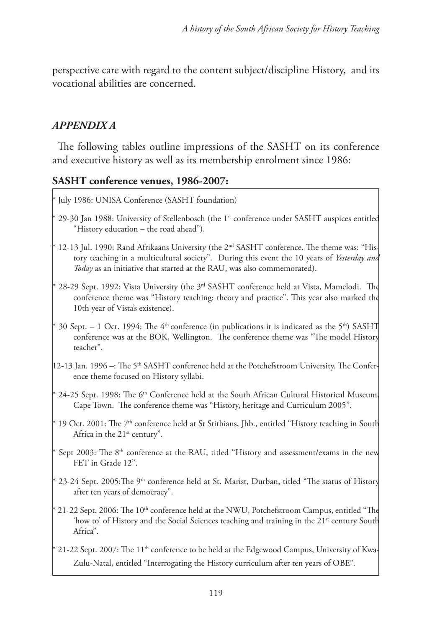perspective care with regard to the content subject/discipline History, and its vocational abilities are concerned.

## *APPENDIX A*

The following tables outline impressions of the SASHT on its conference and executive history as well as its membership enrolment since 1986:

#### **SASHT conference venues, 1986-2007:**

- July 1986: UNISA Conference (SASHT foundation)
- 29-30 Jan 1988: University of Stellenbosch (the 1<sup>st</sup> conference under SASHT auspices entitled "History education – the road ahead").
- 12-13 Jul. 1990: Rand Afrikaans University (the  $2<sup>nd</sup>$  SASHT conference. The theme was: "History teaching in a multicultural society". During this event the 10 years of *Yesterday and Today* as an initiative that started at the RAU, was also commemorated).
- 28-29 Sept. 1992: Vista University (the 3<sup>rd</sup> SASHT conference held at Vista, Mamelodi. The conference theme was "History teaching: theory and practice". This year also marked the 10th year of Vista's existence).
- 30 Sept. 1 Oct. 1994: The  $4<sup>th</sup>$  conference (in publications it is indicated as the 5<sup>th</sup>) SASHT conference was at the BOK, Wellington. The conference theme was "The model History teacher".
- 12-13 Jan. 1996 –: The 5th SASHT conference held at the Potchefstroom University. The Conference theme focused on History syllabi.
- 24-25 Sept. 1998: The 6<sup>th</sup> Conference held at the South African Cultural Historical Museum Cape Town. The conference theme was "History, heritage and Curriculum 2005".
- $*$  19 Oct. 2001: The 7<sup>th</sup> conference held at St Stithians, Jhb., entitled "History teaching in South Africa in the 21<sup>st</sup> century".
- Sept 2003: The 8<sup>th</sup> conference at the RAU, titled "History and assessment/exams in the new FET in Grade 12".
- 23-24 Sept. 2005:The 9<sup>th</sup> conference held at St. Marist, Durban, titled "The status of History after ten years of democracy".
- 21-22 Sept. 2006: The 10<sup>th</sup> conference held at the NWU, Potchefstroom Campus, entitled "The 'how to' of History and the Social Sciences teaching and training in the  $21<sup>st</sup>$  century South Africa".
- 21-22 Sept. 2007: The 11<sup>th</sup> conference to be held at the Edgewood Campus, University of Kwa-Zulu-Natal, entitled "Interrogating the History curriculum after ten years of OBE".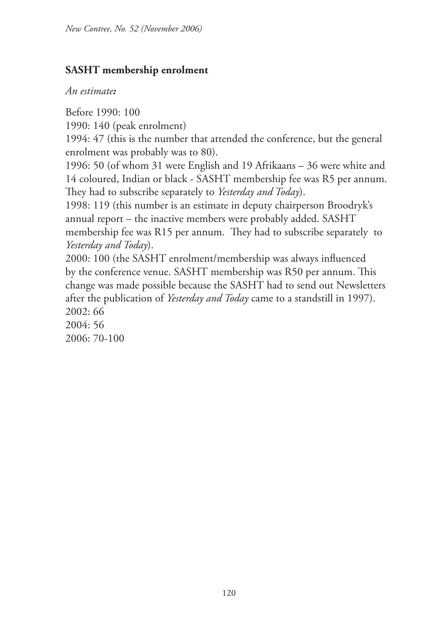## **SASHT membership enrolment**

#### *An estimate:*

Before 1990: 100

1990: 140 (peak enrolment)

1994: 47 (this is the number that attended the conference, but the general enrolment was probably was to 80).

1996: 50 (of whom 31 were English and 19 Afrikaans – 36 were white and 14 coloured, Indian or black - SASHT membership fee was R5 per annum. They had to subscribe separately to *Yesterday and Today*).

1998: 119 (this number is an estimate in deputy chairperson Broodryk's annual report – the inactive members were probably added. SASHT membership fee was R15 per annum. They had to subscribe separately to *Yesterday and Today*).

2000: 100 (the SASHT enrolment/membership was always influenced by the conference venue. SASHT membership was R50 per annum. This change was made possible because the SASHT had to send out Newsletters after the publication of *Yesterday and Today* came to a standstill in 1997). 2002: 66

2004: 56 2006: 70-100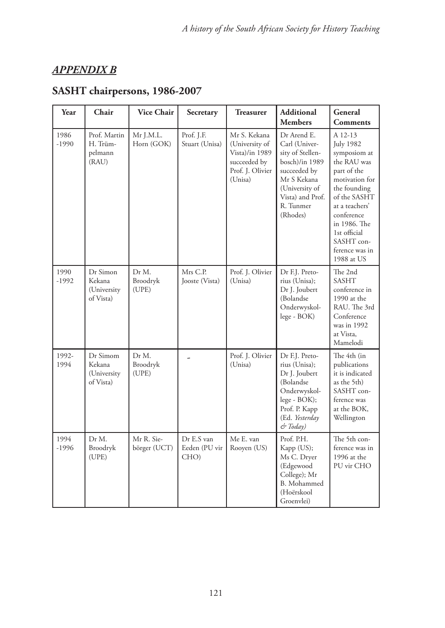# *APPENDIX B*

| Year            | Chair                                          | <b>Vice Chair</b>          | Secretary                           | <b>Treasurer</b>                                                                                | <b>Additional</b><br><b>Members</b>                                                                                                                              | General<br><b>Comments</b>                                                                                                                                                                                                                |
|-----------------|------------------------------------------------|----------------------------|-------------------------------------|-------------------------------------------------------------------------------------------------|------------------------------------------------------------------------------------------------------------------------------------------------------------------|-------------------------------------------------------------------------------------------------------------------------------------------------------------------------------------------------------------------------------------------|
| 1986<br>$-1990$ | Prof. Martin<br>H. Trüm-<br>pelmann<br>(RAU)   | Mr J.M.L.<br>Horn (GOK)    | Prof. J.F.<br>Stuart (Unisa)        | Mr S. Kekana<br>(University of<br>Vista)/in 1989<br>succeeded by<br>Prof. J. Olivier<br>(Unisa) | Dr Arend E.<br>Carl (Univer-<br>sity of Stellen-<br>bosch)/in 1989<br>succeeded by<br>Mr S Kekana<br>(University of<br>Vista) and Prof.<br>R. Tunmer<br>(Rhodes) | A 12-13<br><b>July 1982</b><br>symposiom at<br>the RAU was<br>part of the<br>motivation for<br>the founding<br>of the SASHT<br>at a teachers'<br>conference<br>in 1986. The<br>1st official<br>SASHT con-<br>ference was in<br>1988 at US |
| 1990<br>$-1992$ | Dr Simon<br>Kekana<br>(University<br>of Vista) | Dr M.<br>Broodryk<br>(UPE) | Mrs C.P.<br>Jooste (Vista)          | Prof. J. Olivier<br>(Unisa)                                                                     | Dr F.J. Preto-<br>rius (Unisa);<br>Dr J. Joubert<br>(Bolandse<br>Onderwyskol-<br>lege - BOK)                                                                     | The 2nd<br>SASHT<br>conference in<br>1990 at the<br>RAU. The 3rd<br>Conference<br>was in 1992<br>at Vista.<br>Mamelodi                                                                                                                    |
| 1992-<br>1994   | Dr Simom<br>Kekana<br>(University<br>of Vista) | Dr M.<br>Broodryk<br>(UPE) | L                                   | Prof. J. Olivier<br>(Unisa)                                                                     | Dr F.J. Preto-<br>rius (Unisa);<br>Dr J. Joubert<br>(Bolandse<br>Onderwyskol-<br>lege - BOK);<br>Prof. P. Kapp<br>(Ed. Yesterday<br>& Today)                     | The 4th (in<br>publications<br>it is indicated<br>as the 5th)<br>SASHT con-<br>ference was<br>at the BOK,<br>Wellington                                                                                                                   |
| 1994<br>$-1996$ | Dr M.<br>Broodryk<br>(UPE)                     | Mr R. Sie-<br>börger (UCT) | Dr E.S van<br>Eeden (PU vir<br>CHO) | Me E. van<br>Rooyen (US)                                                                        | Prof. P.H.<br>Kapp (US);<br>Ms C. Dryer<br>(Edgewood<br>College); Mr<br>B. Mohammed<br>(Hoërskool<br>Groenvlei)                                                  | The 5th con-<br>ference was in<br>1996 at the<br>PU vir CHO                                                                                                                                                                               |

# **SASHT chairpersons, 1986-2007**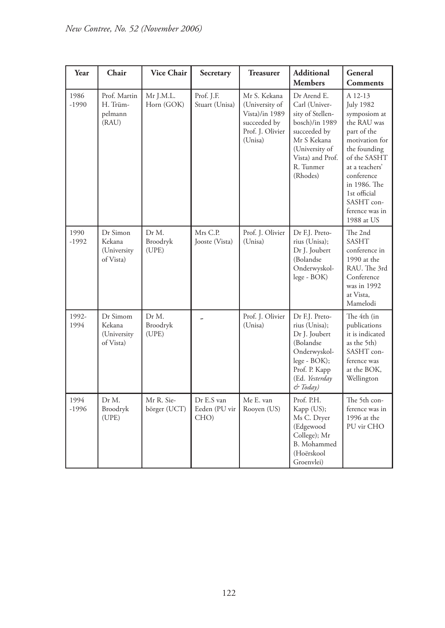| Year            | Chair                                          | <b>Vice Chair</b>          | Secretary                           | <b>Treasurer</b>                                                                                | <b>Additional</b><br><b>Members</b>                                                                                                                              | General<br><b>Comments</b>                                                                                                                                                                                                                |
|-----------------|------------------------------------------------|----------------------------|-------------------------------------|-------------------------------------------------------------------------------------------------|------------------------------------------------------------------------------------------------------------------------------------------------------------------|-------------------------------------------------------------------------------------------------------------------------------------------------------------------------------------------------------------------------------------------|
| 1986<br>$-1990$ | Prof. Martin<br>H. Trüm-<br>pelmann<br>(RAU)   | Mr J.M.L.<br>Horn (GOK)    | Prof. J.F.<br>Stuart (Unisa)        | Mr S. Kekana<br>(University of<br>Vista)/in 1989<br>succeeded by<br>Prof. J. Olivier<br>(Unisa) | Dr Arend E.<br>Carl (Univer-<br>sity of Stellen-<br>bosch)/in 1989<br>succeeded by<br>Mr S Kekana<br>(University of<br>Vista) and Prof.<br>R. Tunmer<br>(Rhodes) | A 12-13<br><b>July 1982</b><br>symposiom at<br>the RAU was<br>part of the<br>motivation for<br>the founding<br>of the SASHT<br>at a teachers'<br>conference<br>in 1986. The<br>1st official<br>SASHT con-<br>ference was in<br>1988 at US |
| 1990<br>$-1992$ | Dr Simon<br>Kekana<br>(University<br>of Vista) | Dr M.<br>Broodryk<br>(UPE) | Mrs C.P.<br>Jooste (Vista)          | Prof. J. Olivier<br>(Unisa)                                                                     | Dr F.J. Preto-<br>rius (Unisa);<br>Dr J. Joubert<br>(Bolandse<br>Onderwyskol-<br>lege - BOK)                                                                     | The 2nd<br><b>SASHT</b><br>conference in<br>1990 at the<br>RAU. The 3rd<br>Conference<br>was in 1992<br>at Vista.<br>Mamelodi                                                                                                             |
| 1992-<br>1994   | Dr Simom<br>Kekana<br>(University<br>of Vista) | Dr M.<br>Broodryk<br>(UPE) |                                     | Prof. J. Olivier<br>(Unisa)                                                                     | Dr F.J. Preto-<br>rius (Unisa);<br>Dr J. Joubert<br>(Bolandse)<br>Onderwyskol-<br>lege - BOK);<br>Prof. P. Kapp<br>(Ed. Yesterday<br>& Today)                    | The 4th (in<br>publications<br>it is indicated<br>as the 5th)<br>SASHT con-<br>ference was<br>at the BOK,<br>Wellington                                                                                                                   |
| 1994<br>$-1996$ | Dr M.<br>Broodryk<br>(UPE)                     | Mr R. Sie-<br>börger (UCT) | Dr E.S van<br>Eeden (PU vir<br>CHO) | Me E. van<br>Rooyen (US)                                                                        | Prof. P.H.<br>Kapp (US);<br>Ms C. Dryer<br>(Edgewood<br>College); Mr<br>B. Mohammed<br>(Hoërskool<br>Groenvlei)                                                  | The 5th con-<br>ference was in<br>1996 at the<br>PU vir CHO                                                                                                                                                                               |